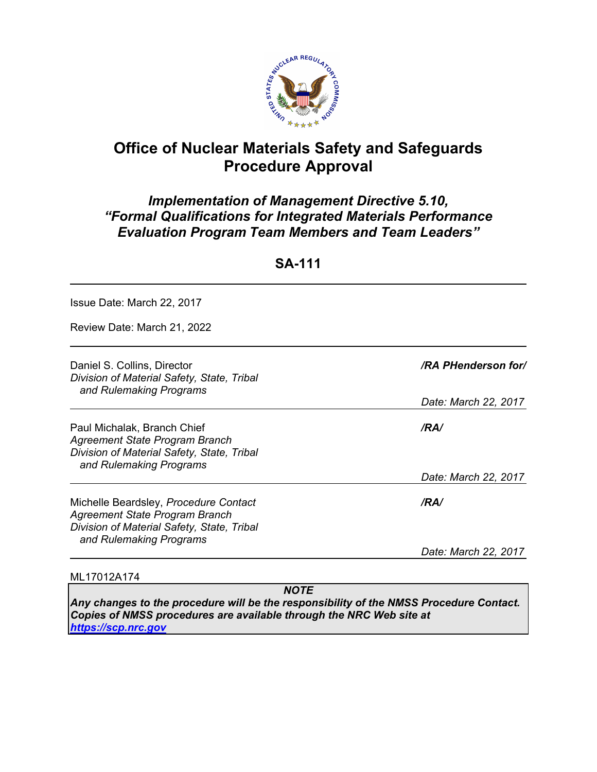

# **Office of Nuclear Materials Safety and Safeguards Procedure Approval**

# *Implementation of Management Directive 5.10, "Formal Qualifications for Integrated Materials Performance Evaluation Program Team Members and Team Leaders"*

**SA-111**

Issue Date: March 22, 2017

Review Date: March 21, 2022

| Daniel S. Collins, Director<br>Division of Material Safety, State, Tribal<br>and Rulemaking Programs                                             | <b>/RA PHenderson for/</b> |
|--------------------------------------------------------------------------------------------------------------------------------------------------|----------------------------|
|                                                                                                                                                  | Date: March 22, 2017       |
| Paul Michalak, Branch Chief<br>Agreement State Program Branch<br>Division of Material Safety, State, Tribal<br>and Rulemaking Programs           | /RA/                       |
|                                                                                                                                                  | Date: March 22, 2017       |
| Michelle Beardsley, Procedure Contact<br>Agreement State Program Branch<br>Division of Material Safety, State, Tribal<br>and Rulemaking Programs | /RA/                       |
|                                                                                                                                                  | Date: March 22, 2017       |

#### ML17012A174

 *NOTE* 

*Any changes to the procedure will be the responsibility of the NMSS Procedure Contact. Copies of NMSS procedures are available through the NRC Web site at https://scp.nrc.gov*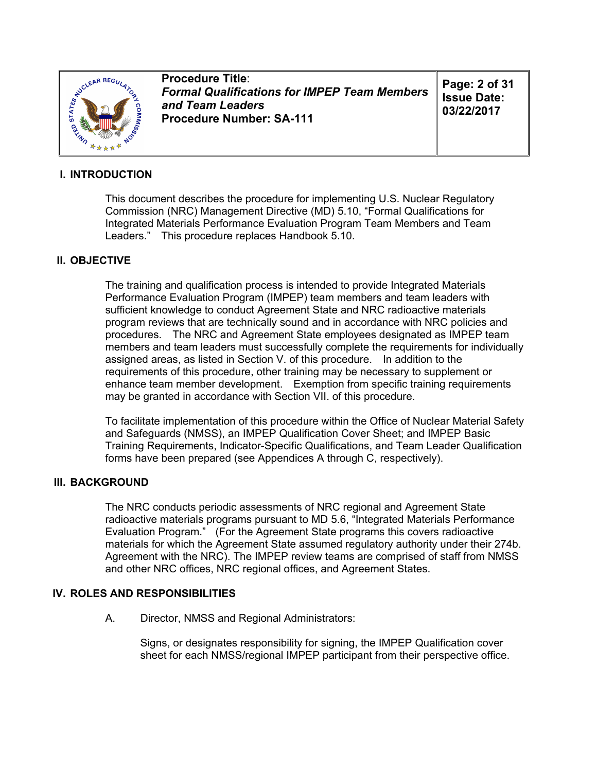

**Procedure Title**: *Formal Qualifications for IMPEP Team Members and Team Leaders* **Procedure Number: SA-111**

**Page: 2 of 31 Issue Date: 03/22/2017**

### **I. INTRODUCTION**

This document describes the procedure for implementing U.S. Nuclear Regulatory Commission (NRC) Management Directive (MD) 5.10, "Formal Qualifications for Integrated Materials Performance Evaluation Program Team Members and Team Leaders." This procedure replaces Handbook 5.10.

### **II. OBJECTIVE**

The training and qualification process is intended to provide Integrated Materials Performance Evaluation Program (IMPEP) team members and team leaders with sufficient knowledge to conduct Agreement State and NRC radioactive materials program reviews that are technically sound and in accordance with NRC policies and procedures. The NRC and Agreement State employees designated as IMPEP team members and team leaders must successfully complete the requirements for individually assigned areas, as listed in Section V. of this procedure. In addition to the requirements of this procedure, other training may be necessary to supplement or enhance team member development. Exemption from specific training requirements may be granted in accordance with Section VII. of this procedure.

To facilitate implementation of this procedure within the Office of Nuclear Material Safety and Safeguards (NMSS), an IMPEP Qualification Cover Sheet; and IMPEP Basic Training Requirements, Indicator-Specific Qualifications, and Team Leader Qualification forms have been prepared (see Appendices A through C, respectively).

### **III. BACKGROUND**

The NRC conducts periodic assessments of NRC regional and Agreement State radioactive materials programs pursuant to MD 5.6, "Integrated Materials Performance Evaluation Program." (For the Agreement State programs this covers radioactive materials for which the Agreement State assumed regulatory authority under their 274b. Agreement with the NRC). The IMPEP review teams are comprised of staff from NMSS and other NRC offices, NRC regional offices, and Agreement States.

### **IV. ROLES AND RESPONSIBILITIES**

A. Director, NMSS and Regional Administrators:

Signs, or designates responsibility for signing, the IMPEP Qualification cover sheet for each NMSS/regional IMPEP participant from their perspective office.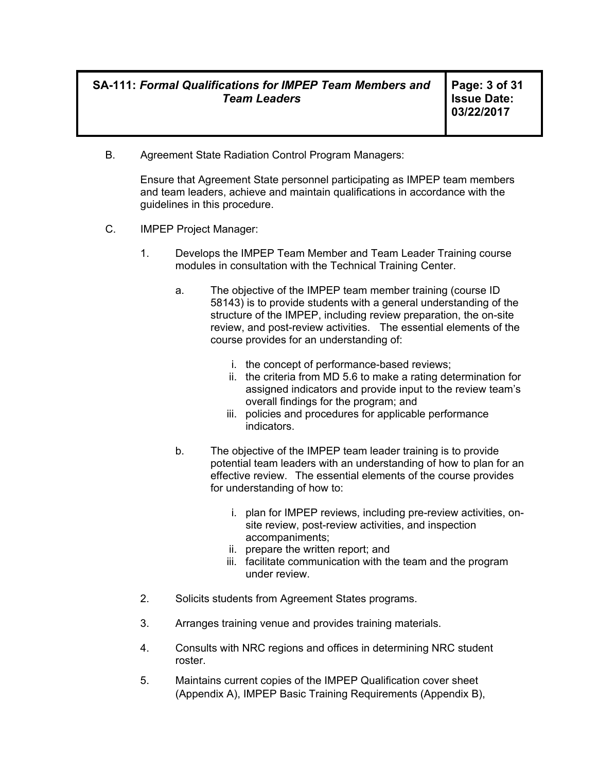**Page: 3 of 31 Issue Date: 03/22/2017** 

B. Agreement State Radiation Control Program Managers:

Ensure that Agreement State personnel participating as IMPEP team members and team leaders, achieve and maintain qualifications in accordance with the guidelines in this procedure.

- C. IMPEP Project Manager:
	- 1. Develops the IMPEP Team Member and Team Leader Training course modules in consultation with the Technical Training Center.
		- a. The objective of the IMPEP team member training (course ID 58143) is to provide students with a general understanding of the structure of the IMPEP, including review preparation, the on-site review, and post-review activities. The essential elements of the course provides for an understanding of:
			- i. the concept of performance-based reviews;
			- ii. the criteria from MD 5.6 to make a rating determination for assigned indicators and provide input to the review team's overall findings for the program; and
			- iii. policies and procedures for applicable performance indicators.
		- b. The objective of the IMPEP team leader training is to provide potential team leaders with an understanding of how to plan for an effective review. The essential elements of the course provides for understanding of how to:
			- i. plan for IMPEP reviews, including pre-review activities, onsite review, post-review activities, and inspection accompaniments;
			- ii. prepare the written report; and
			- iii. facilitate communication with the team and the program under review.
	- 2. Solicits students from Agreement States programs.
	- 3. Arranges training venue and provides training materials.
	- 4. Consults with NRC regions and offices in determining NRC student roster.
	- 5. Maintains current copies of the IMPEP Qualification cover sheet (Appendix A), IMPEP Basic Training Requirements (Appendix B),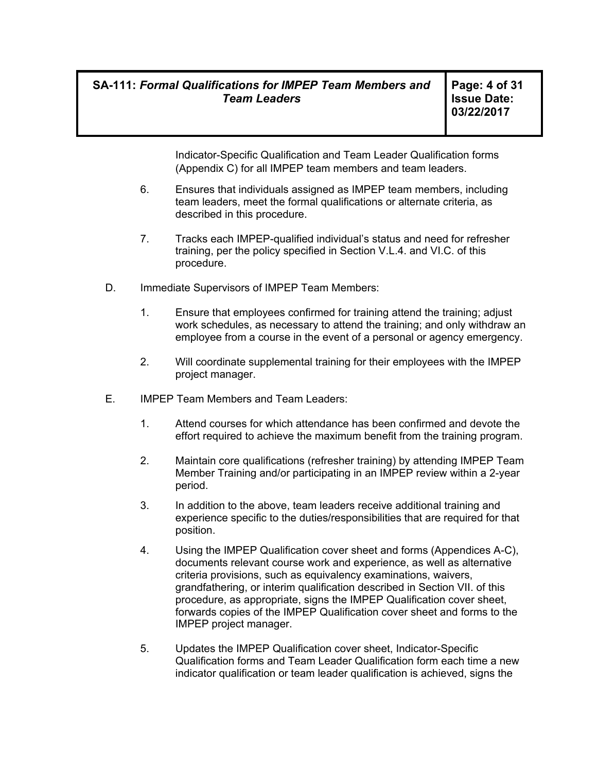**Page: 4 of 31 Issue Date: 03/22/2017** 

Indicator-Specific Qualification and Team Leader Qualification forms (Appendix C) for all IMPEP team members and team leaders.

- 6. Ensures that individuals assigned as IMPEP team members, including team leaders, meet the formal qualifications or alternate criteria, as described in this procedure.
- 7. Tracks each IMPEP-qualified individual's status and need for refresher training, per the policy specified in Section V.L.4. and VI.C. of this procedure.
- D. Immediate Supervisors of IMPEP Team Members:
	- 1. Ensure that employees confirmed for training attend the training; adjust work schedules, as necessary to attend the training; and only withdraw an employee from a course in the event of a personal or agency emergency.
	- 2. Will coordinate supplemental training for their employees with the IMPEP project manager.
- E. IMPEP Team Members and Team Leaders:
	- 1. Attend courses for which attendance has been confirmed and devote the effort required to achieve the maximum benefit from the training program.
	- 2. Maintain core qualifications (refresher training) by attending IMPEP Team Member Training and/or participating in an IMPEP review within a 2-year period.
	- 3. In addition to the above, team leaders receive additional training and experience specific to the duties/responsibilities that are required for that position.
	- 4. Using the IMPEP Qualification cover sheet and forms (Appendices A-C), documents relevant course work and experience, as well as alternative criteria provisions, such as equivalency examinations, waivers, grandfathering, or interim qualification described in Section VII. of this procedure, as appropriate, signs the IMPEP Qualification cover sheet, forwards copies of the IMPEP Qualification cover sheet and forms to the IMPEP project manager.
	- 5. Updates the IMPEP Qualification cover sheet, Indicator-Specific Qualification forms and Team Leader Qualification form each time a new indicator qualification or team leader qualification is achieved, signs the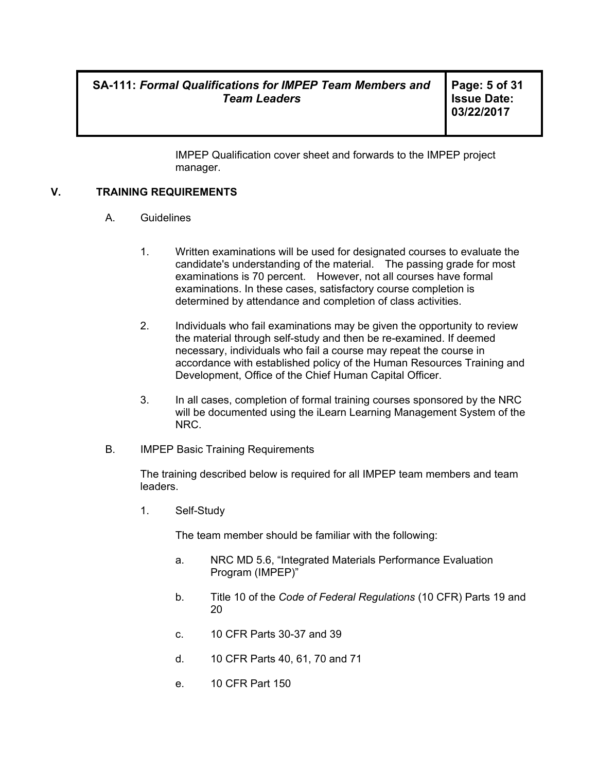**Page: 5 of 31 Issue Date: 03/22/2017** 

IMPEP Qualification cover sheet and forwards to the IMPEP project manager.

### **V. TRAINING REQUIREMENTS**

- A. Guidelines
	- 1. Written examinations will be used for designated courses to evaluate the candidate's understanding of the material. The passing grade for most examinations is 70 percent. However, not all courses have formal examinations. In these cases, satisfactory course completion is determined by attendance and completion of class activities.
	- 2. Individuals who fail examinations may be given the opportunity to review the material through self-study and then be re-examined. If deemed necessary, individuals who fail a course may repeat the course in accordance with established policy of the Human Resources Training and Development, Office of the Chief Human Capital Officer.
	- 3. In all cases, completion of formal training courses sponsored by the NRC will be documented using the iLearn Learning Management System of the NRC.
- B. IMPEP Basic Training Requirements

The training described below is required for all IMPEP team members and team leaders.

1. Self-Study

The team member should be familiar with the following:

- a. NRC MD 5.6, "Integrated Materials Performance Evaluation Program (IMPEP)"
- b. Title 10 of the *Code of Federal Regulations* (10 CFR) Parts 19 and 20
- c. 10 CFR Parts 30-37 and 39
- d. 10 CFR Parts 40, 61, 70 and 71
- e. 10 CFR Part 150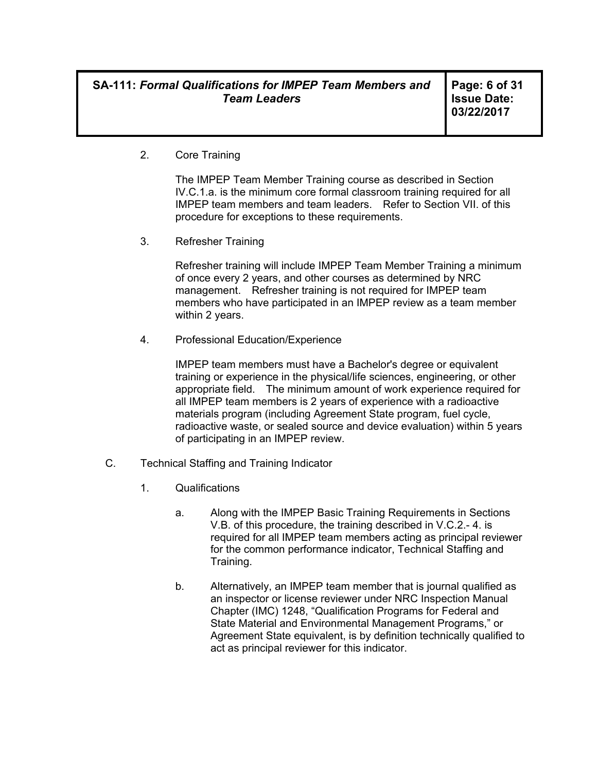**Page: 6 of 31 Issue Date: 03/22/2017** 

2. Core Training

The IMPEP Team Member Training course as described in Section IV.C.1.a. is the minimum core formal classroom training required for all IMPEP team members and team leaders. Refer to Section VII. of this procedure for exceptions to these requirements.

3. Refresher Training

Refresher training will include IMPEP Team Member Training a minimum of once every 2 years, and other courses as determined by NRC management. Refresher training is not required for IMPEP team members who have participated in an IMPEP review as a team member within 2 years.

4. Professional Education/Experience

IMPEP team members must have a Bachelor's degree or equivalent training or experience in the physical/life sciences, engineering, or other appropriate field. The minimum amount of work experience required for all IMPEP team members is 2 years of experience with a radioactive materials program (including Agreement State program, fuel cycle, radioactive waste, or sealed source and device evaluation) within 5 years of participating in an IMPEP review.

- C. Technical Staffing and Training Indicator
	- 1. Qualifications
		- a. Along with the IMPEP Basic Training Requirements in Sections V.B. of this procedure, the training described in V.C.2.- 4. is required for all IMPEP team members acting as principal reviewer for the common performance indicator, Technical Staffing and Training.
		- b. Alternatively, an IMPEP team member that is journal qualified as an inspector or license reviewer under NRC Inspection Manual Chapter (IMC) 1248, "Qualification Programs for Federal and State Material and Environmental Management Programs," or Agreement State equivalent, is by definition technically qualified to act as principal reviewer for this indicator.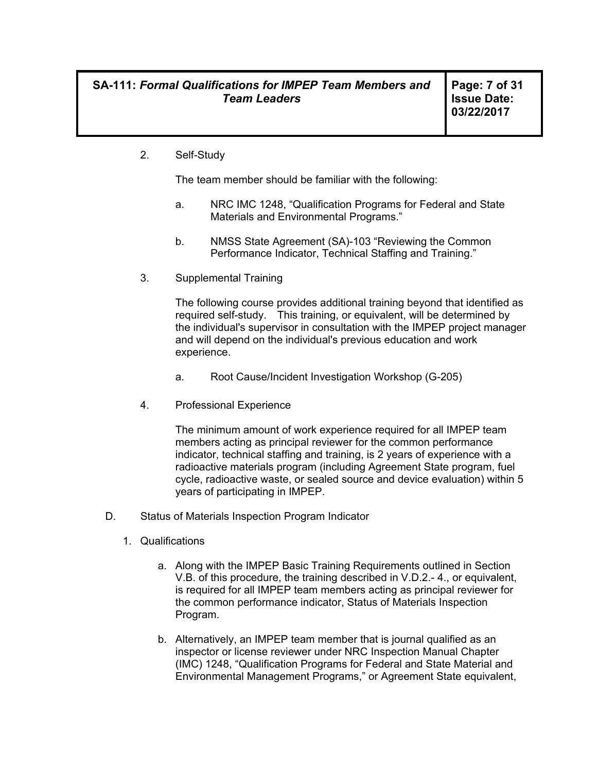2. Self-Study

The team member should be familiar with the following:

- a. NRC IMC 1248, "Qualification Programs for Federal and State Materials and Environmental Programs."
- b. NMSS State Agreement (SA)-103 "Reviewing the Common Performance Indicator, Technical Staffing and Training."
- 3. Supplemental Training

The following course provides additional training beyond that identified as required self-study. This training, or equivalent, will be determined by the individual's supervisor in consultation with the IMPEP project manager and will depend on the individual's previous education and work experience.

- a. Root Cause/Incident Investigation Workshop (G-205)
- 4. Professional Experience

The minimum amount of work experience required for all IMPEP team members acting as principal reviewer for the common performance indicator, technical staffing and training, is 2 years of experience with a radioactive materials program (including Agreement State program, fuel cycle, radioactive waste, or sealed source and device evaluation) within 5 years of participating in IMPEP.

- D. Status of Materials Inspection Program Indicator
	- 1. Qualifications
		- a. Along with the IMPEP Basic Training Requirements outlined in Section V.B. of this procedure, the training described in V.D.2.- 4., or equivalent, is required for all IMPEP team members acting as principal reviewer for the common performance indicator, Status of Materials Inspection Program.
		- b. Alternatively, an IMPEP team member that is journal qualified as an inspector or license reviewer under NRC Inspection Manual Chapter (IMC) 1248, "Qualification Programs for Federal and State Material and Environmental Management Programs," or Agreement State equivalent,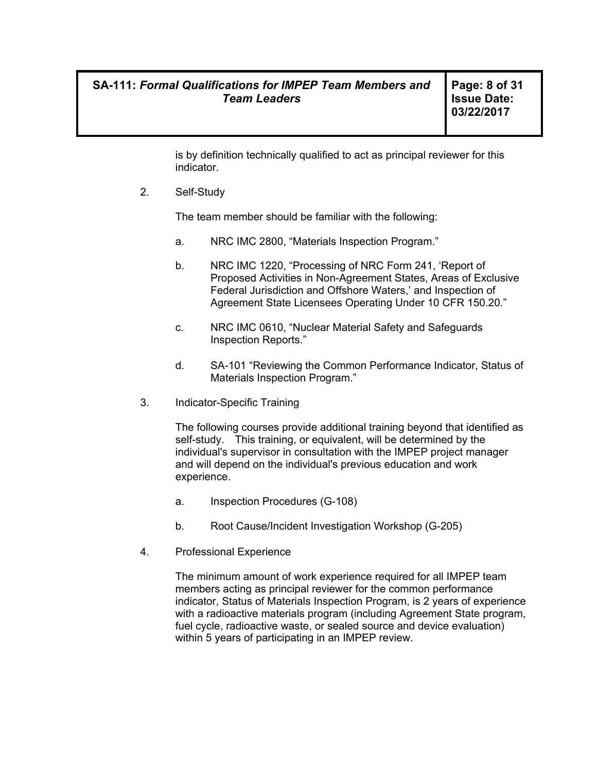**Page: 8 of 31 Issue Date: 03/22/2017** 

is by definition technically qualified to act as principal reviewer for this indicator.

2. Self-Study

The team member should be familiar with the following:

- a. NRC IMC 2800, "Materials Inspection Program."
- b. NRC IMC 1220, "Processing of NRC Form 241, 'Report of Proposed Activities in Non-Agreement States, Areas of Exclusive Federal Jurisdiction and Offshore Waters,' and Inspection of Agreement State Licensees Operating Under 10 CFR 150.20."
- c. NRC IMC 0610, "Nuclear Material Safety and Safeguards Inspection Reports."
- d. SA-101 "Reviewing the Common Performance Indicator, Status of Materials Inspection Program."
- 3. Indicator-Specific Training

The following courses provide additional training beyond that identified as self-study. This training, or equivalent, will be determined by the individual's supervisor in consultation with the IMPEP project manager and will depend on the individual's previous education and work experience.

- a. Inspection Procedures (G-108)
- b. Root Cause/Incident Investigation Workshop (G-205)
- 4. Professional Experience

The minimum amount of work experience required for all IMPEP team members acting as principal reviewer for the common performance indicator, Status of Materials Inspection Program, is 2 years of experience with a radioactive materials program (including Agreement State program, fuel cycle, radioactive waste, or sealed source and device evaluation) within 5 years of participating in an IMPEP review.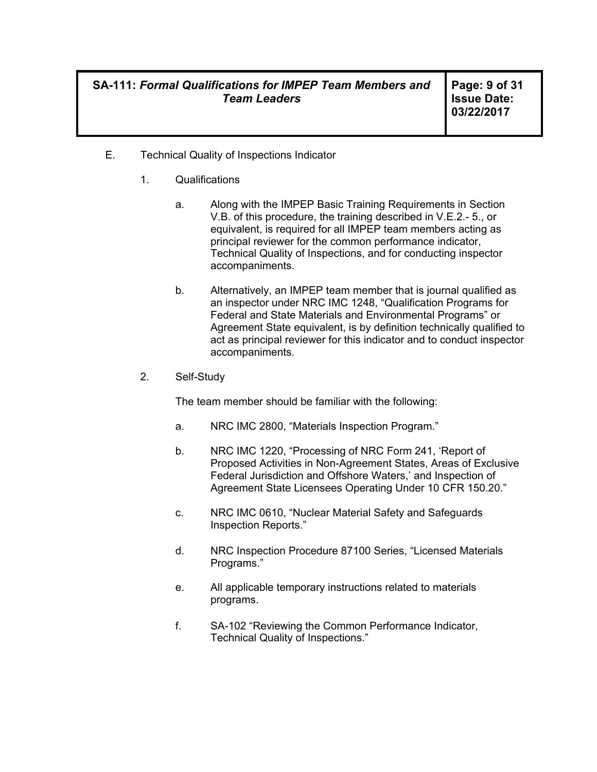**Page: 9 of 31 Issue Date: 03/22/2017** 

- E. Technical Quality of Inspections Indicator
	- 1. Qualifications
		- a. Along with the IMPEP Basic Training Requirements in Section V.B. of this procedure, the training described in V.E.2.- 5., or equivalent, is required for all IMPEP team members acting as principal reviewer for the common performance indicator, Technical Quality of Inspections, and for conducting inspector accompaniments.
		- b. Alternatively, an IMPEP team member that is journal qualified as an inspector under NRC IMC 1248, "Qualification Programs for Federal and State Materials and Environmental Programs" or Agreement State equivalent, is by definition technically qualified to act as principal reviewer for this indicator and to conduct inspector accompaniments.
	- 2. Self-Study

The team member should be familiar with the following:

- a. NRC IMC 2800, "Materials Inspection Program."
- b. NRC IMC 1220, "Processing of NRC Form 241, 'Report of Proposed Activities in Non-Agreement States, Areas of Exclusive Federal Jurisdiction and Offshore Waters,' and Inspection of Agreement State Licensees Operating Under 10 CFR 150.20."
- c. NRC IMC 0610, "Nuclear Material Safety and Safeguards Inspection Reports."
- d. NRC Inspection Procedure 87100 Series, "Licensed Materials Programs."
- e. All applicable temporary instructions related to materials programs.
- f. SA-102 "Reviewing the Common Performance Indicator, Technical Quality of Inspections."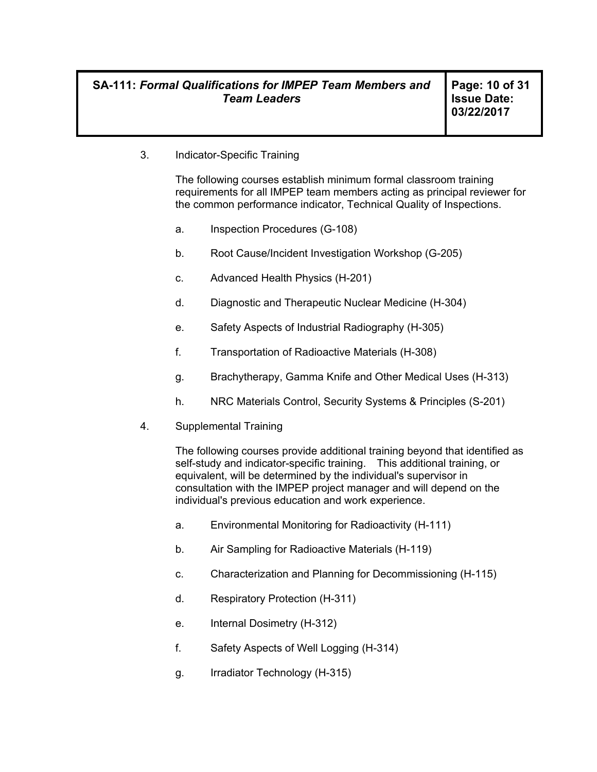3. Indicator-Specific Training

The following courses establish minimum formal classroom training requirements for all IMPEP team members acting as principal reviewer for the common performance indicator, Technical Quality of Inspections.

- a. Inspection Procedures (G-108)
- b. Root Cause/Incident Investigation Workshop (G-205)
- c. Advanced Health Physics (H-201)
- d. Diagnostic and Therapeutic Nuclear Medicine (H-304)
- e. Safety Aspects of Industrial Radiography (H-305)
- f. Transportation of Radioactive Materials (H-308)
- g. Brachytherapy, Gamma Knife and Other Medical Uses (H-313)
- h. NRC Materials Control, Security Systems & Principles (S-201)
- 4. Supplemental Training

The following courses provide additional training beyond that identified as self-study and indicator-specific training. This additional training, or equivalent, will be determined by the individual's supervisor in consultation with the IMPEP project manager and will depend on the individual's previous education and work experience.

- a. Environmental Monitoring for Radioactivity (H-111)
- b. Air Sampling for Radioactive Materials (H-119)
- c. Characterization and Planning for Decommissioning (H-115)
- d. Respiratory Protection (H-311)
- e. Internal Dosimetry (H-312)
- f. Safety Aspects of Well Logging (H-314)
- g. Irradiator Technology (H-315)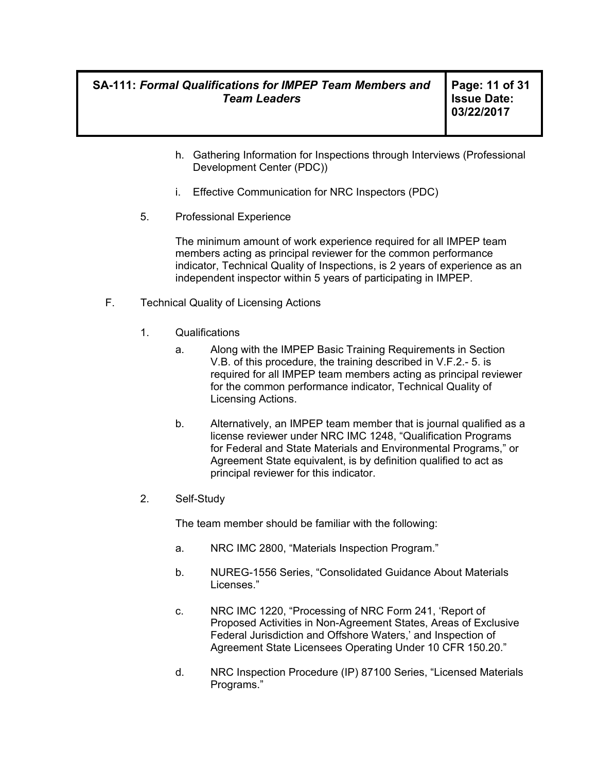**Page: 11 of 31 Issue Date: 03/22/2017** 

- h. Gathering Information for Inspections through Interviews (Professional Development Center (PDC))
- i. Effective Communication for NRC Inspectors (PDC)
- 5. Professional Experience

The minimum amount of work experience required for all IMPEP team members acting as principal reviewer for the common performance indicator, Technical Quality of Inspections, is 2 years of experience as an independent inspector within 5 years of participating in IMPEP.

- F. Technical Quality of Licensing Actions
	- 1. Qualifications
		- a. Along with the IMPEP Basic Training Requirements in Section V.B. of this procedure, the training described in V.F.2.- 5. is required for all IMPEP team members acting as principal reviewer for the common performance indicator, Technical Quality of Licensing Actions.
		- b. Alternatively, an IMPEP team member that is journal qualified as a license reviewer under NRC IMC 1248, "Qualification Programs for Federal and State Materials and Environmental Programs," or Agreement State equivalent, is by definition qualified to act as principal reviewer for this indicator.
	- 2. Self-Study

The team member should be familiar with the following:

- a. NRC IMC 2800, "Materials Inspection Program."
- b. NUREG-1556 Series, "Consolidated Guidance About Materials Licenses."
- c. NRC IMC 1220, "Processing of NRC Form 241, 'Report of Proposed Activities in Non-Agreement States, Areas of Exclusive Federal Jurisdiction and Offshore Waters,' and Inspection of Agreement State Licensees Operating Under 10 CFR 150.20."
- d. NRC Inspection Procedure (IP) 87100 Series, "Licensed Materials Programs."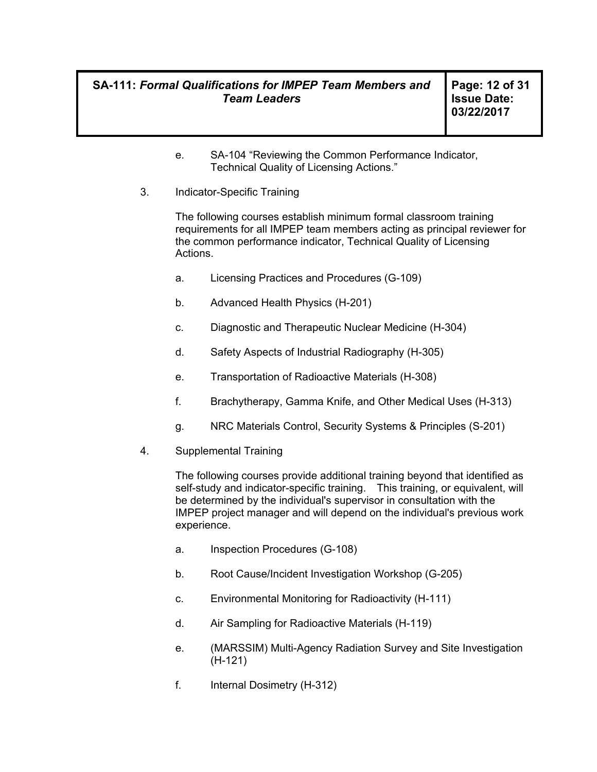**Page: 12 of 31 Issue Date: 03/22/2017** 

- e. SA-104 "Reviewing the Common Performance Indicator, Technical Quality of Licensing Actions."
- 3. Indicator-Specific Training

The following courses establish minimum formal classroom training requirements for all IMPEP team members acting as principal reviewer for the common performance indicator, Technical Quality of Licensing Actions.

- a. Licensing Practices and Procedures (G-109)
- b. Advanced Health Physics (H-201)
- c. Diagnostic and Therapeutic Nuclear Medicine (H-304)
- d. Safety Aspects of Industrial Radiography (H-305)
- e. Transportation of Radioactive Materials (H-308)
- f. Brachytherapy, Gamma Knife, and Other Medical Uses (H-313)
- g. NRC Materials Control, Security Systems & Principles (S-201)
- 4. Supplemental Training

The following courses provide additional training beyond that identified as self-study and indicator-specific training. This training, or equivalent, will be determined by the individual's supervisor in consultation with the IMPEP project manager and will depend on the individual's previous work experience.

- a. Inspection Procedures (G-108)
- b. Root Cause/Incident Investigation Workshop (G-205)
- c. Environmental Monitoring for Radioactivity (H-111)
- d. Air Sampling for Radioactive Materials (H-119)
- e. (MARSSIM) Multi-Agency Radiation Survey and Site Investigation (H-121)
- f. Internal Dosimetry (H-312)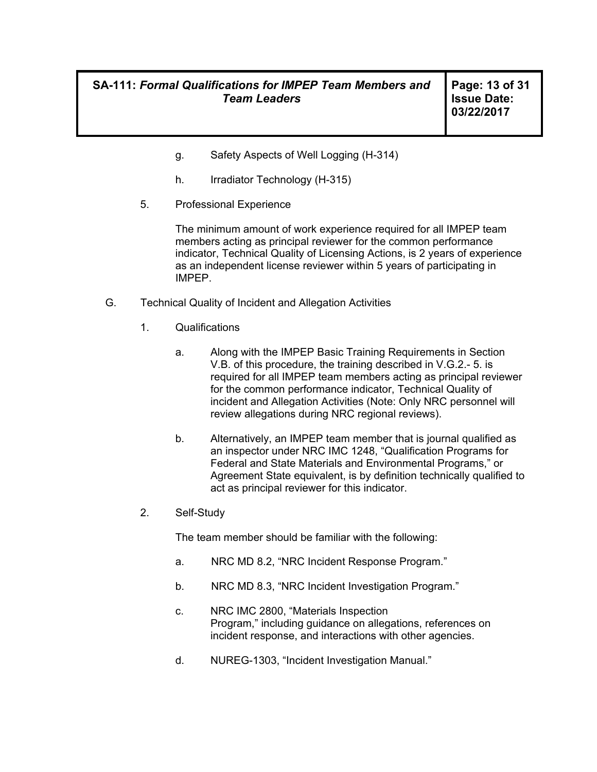**Page: 13 of 31 Issue Date: 03/22/2017** 

- g. Safety Aspects of Well Logging (H-314)
- h. Irradiator Technology (H-315)
- 5. Professional Experience

The minimum amount of work experience required for all IMPEP team members acting as principal reviewer for the common performance indicator, Technical Quality of Licensing Actions, is 2 years of experience as an independent license reviewer within 5 years of participating in IMPEP.

- G. Technical Quality of Incident and Allegation Activities
	- 1. Qualifications
		- a. Along with the IMPEP Basic Training Requirements in Section V.B. of this procedure, the training described in V.G.2.- 5. is required for all IMPEP team members acting as principal reviewer for the common performance indicator, Technical Quality of incident and Allegation Activities (Note: Only NRC personnel will review allegations during NRC regional reviews).
		- b. Alternatively, an IMPEP team member that is journal qualified as an inspector under NRC IMC 1248, "Qualification Programs for Federal and State Materials and Environmental Programs," or Agreement State equivalent, is by definition technically qualified to act as principal reviewer for this indicator.
	- 2. Self-Study

The team member should be familiar with the following:

- a. NRC MD 8.2, "NRC Incident Response Program."
- b. NRC MD 8.3, "NRC Incident Investigation Program."
- c. NRC IMC 2800, "Materials Inspection Program," including guidance on allegations, references on incident response, and interactions with other agencies.
- d. NUREG-1303, "Incident Investigation Manual."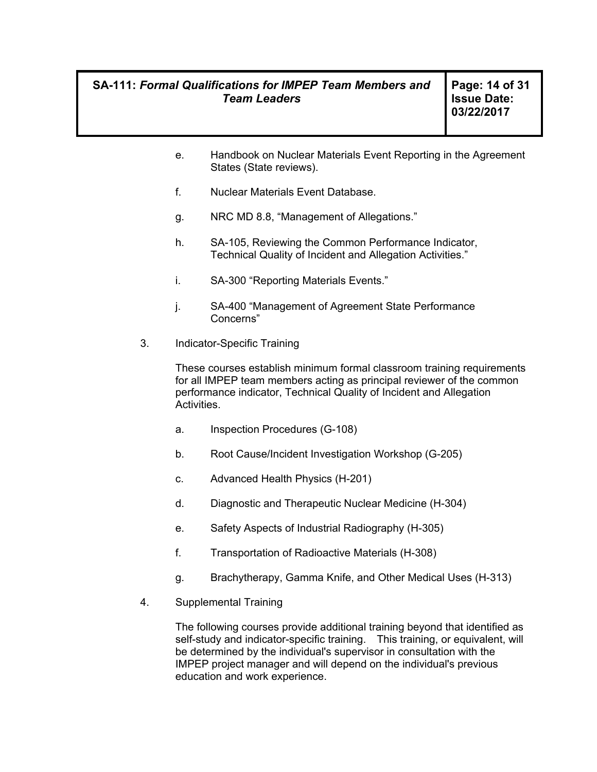**Page: 14 of 31 Issue Date: 03/22/2017** 

- e. Handbook on Nuclear Materials Event Reporting in the Agreement States (State reviews).
- f. Nuclear Materials Event Database.
- g. NRC MD 8.8, "Management of Allegations."
- h. SA-105, Reviewing the Common Performance Indicator, Technical Quality of Incident and Allegation Activities."
- i. SA-300 "Reporting Materials Events."
- j. SA-400 "Management of Agreement State Performance Concerns"
- 3. Indicator-Specific Training

These courses establish minimum formal classroom training requirements for all IMPEP team members acting as principal reviewer of the common performance indicator, Technical Quality of Incident and Allegation Activities.

- a. Inspection Procedures (G-108)
- b. Root Cause/Incident Investigation Workshop (G-205)
- c. Advanced Health Physics (H-201)
- d. Diagnostic and Therapeutic Nuclear Medicine (H-304)
- e. Safety Aspects of Industrial Radiography (H-305)
- f. Transportation of Radioactive Materials (H-308)
- g. Brachytherapy, Gamma Knife, and Other Medical Uses (H-313)
- 4. Supplemental Training

The following courses provide additional training beyond that identified as self-study and indicator-specific training. This training, or equivalent, will be determined by the individual's supervisor in consultation with the IMPEP project manager and will depend on the individual's previous education and work experience.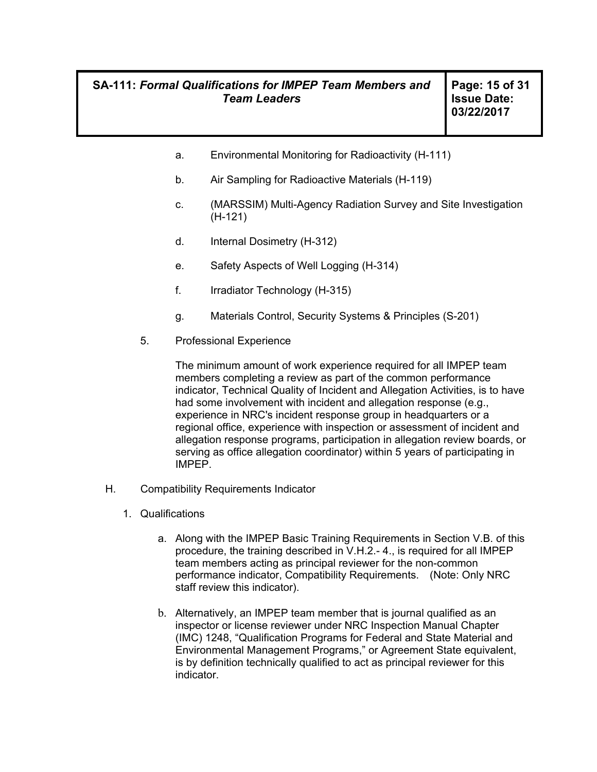- a. Environmental Monitoring for Radioactivity (H-111)
- b. Air Sampling for Radioactive Materials (H-119)
- c. (MARSSIM) Multi-Agency Radiation Survey and Site Investigation (H-121)
- d. Internal Dosimetry (H-312)
- e. Safety Aspects of Well Logging (H-314)
- f. Irradiator Technology (H-315)
- g. Materials Control, Security Systems & Principles (S-201)
- 5. Professional Experience

The minimum amount of work experience required for all IMPEP team members completing a review as part of the common performance indicator, Technical Quality of Incident and Allegation Activities, is to have had some involvement with incident and allegation response (e.g., experience in NRC's incident response group in headquarters or a regional office, experience with inspection or assessment of incident and allegation response programs, participation in allegation review boards, or serving as office allegation coordinator) within 5 years of participating in IMPEP.

- H. Compatibility Requirements Indicator
	- 1. Qualifications
		- a. Along with the IMPEP Basic Training Requirements in Section V.B. of this procedure, the training described in V.H.2.- 4., is required for all IMPEP team members acting as principal reviewer for the non-common performance indicator, Compatibility Requirements. (Note: Only NRC staff review this indicator).
		- b. Alternatively, an IMPEP team member that is journal qualified as an inspector or license reviewer under NRC Inspection Manual Chapter (IMC) 1248, "Qualification Programs for Federal and State Material and Environmental Management Programs," or Agreement State equivalent, is by definition technically qualified to act as principal reviewer for this indicator.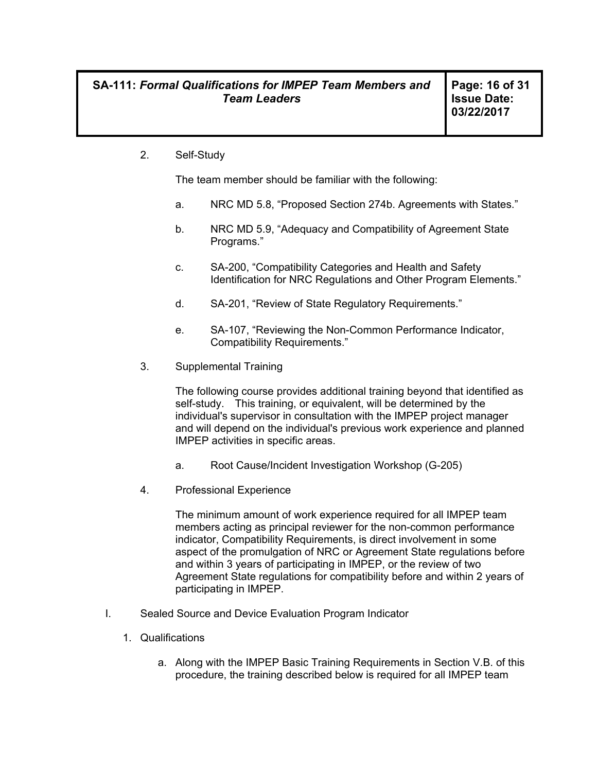2. Self-Study

The team member should be familiar with the following:

- a. NRC MD 5.8, "Proposed Section 274b. Agreements with States."
- b. NRC MD 5.9, "Adequacy and Compatibility of Agreement State Programs."
- c. SA-200, "Compatibility Categories and Health and Safety Identification for NRC Regulations and Other Program Elements."
- d. SA-201, "Review of State Regulatory Requirements."
- e. SA-107, "Reviewing the Non-Common Performance Indicator, Compatibility Requirements."
- 3. Supplemental Training

The following course provides additional training beyond that identified as self-study. This training, or equivalent, will be determined by the individual's supervisor in consultation with the IMPEP project manager and will depend on the individual's previous work experience and planned IMPEP activities in specific areas.

- a. Root Cause/Incident Investigation Workshop (G-205)
- 4. Professional Experience

The minimum amount of work experience required for all IMPEP team members acting as principal reviewer for the non-common performance indicator, Compatibility Requirements, is direct involvement in some aspect of the promulgation of NRC or Agreement State regulations before and within 3 years of participating in IMPEP, or the review of two Agreement State regulations for compatibility before and within 2 years of participating in IMPEP.

- I. Sealed Source and Device Evaluation Program Indicator
	- 1. Qualifications
		- a. Along with the IMPEP Basic Training Requirements in Section V.B. of this procedure, the training described below is required for all IMPEP team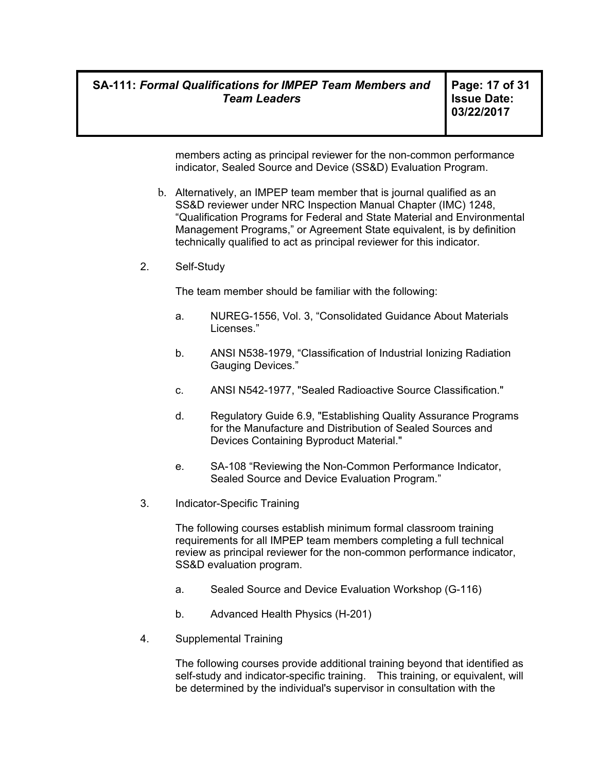**Page: 17 of 31 Issue Date: 03/22/2017** 

members acting as principal reviewer for the non-common performance indicator, Sealed Source and Device (SS&D) Evaluation Program.

- b. Alternatively, an IMPEP team member that is journal qualified as an SS&D reviewer under NRC Inspection Manual Chapter (IMC) 1248, "Qualification Programs for Federal and State Material and Environmental Management Programs," or Agreement State equivalent, is by definition technically qualified to act as principal reviewer for this indicator.
- 2. Self-Study

The team member should be familiar with the following:

- a. NUREG-1556, Vol. 3, "Consolidated Guidance About Materials Licenses."
- b. ANSI N538-1979, "Classification of Industrial Ionizing Radiation Gauging Devices."
- c. ANSI N542-1977, "Sealed Radioactive Source Classification."
- d. Regulatory Guide 6.9, "Establishing Quality Assurance Programs for the Manufacture and Distribution of Sealed Sources and Devices Containing Byproduct Material."
- e. SA-108 "Reviewing the Non-Common Performance Indicator, Sealed Source and Device Evaluation Program."
- 3. Indicator-Specific Training

The following courses establish minimum formal classroom training requirements for all IMPEP team members completing a full technical review as principal reviewer for the non-common performance indicator, SS&D evaluation program.

- a. Sealed Source and Device Evaluation Workshop (G-116)
- b. Advanced Health Physics (H-201)
- 4. Supplemental Training

The following courses provide additional training beyond that identified as self-study and indicator-specific training. This training, or equivalent, will be determined by the individual's supervisor in consultation with the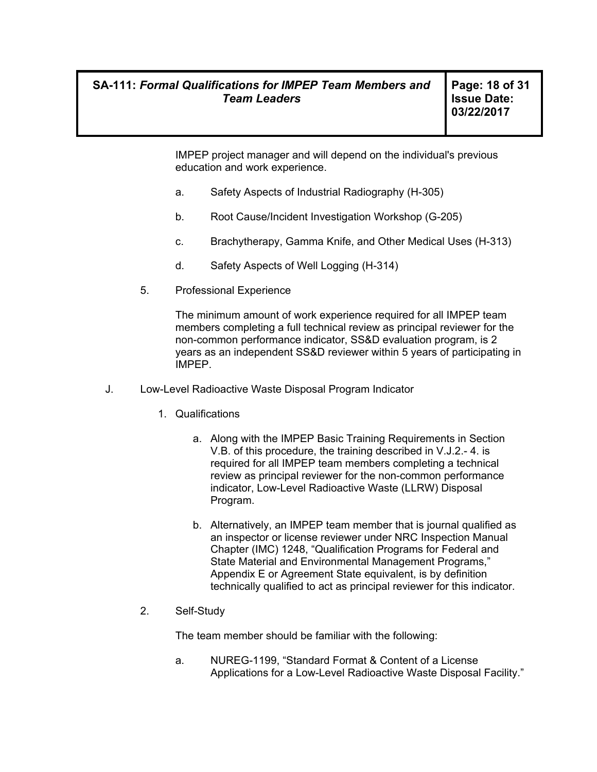IMPEP project manager and will depend on the individual's previous education and work experience.

- a. Safety Aspects of Industrial Radiography (H-305)
- b. Root Cause/Incident Investigation Workshop (G-205)
- c. Brachytherapy, Gamma Knife, and Other Medical Uses (H-313)
- d. Safety Aspects of Well Logging (H-314)
- 5. Professional Experience

The minimum amount of work experience required for all IMPEP team members completing a full technical review as principal reviewer for the non-common performance indicator, SS&D evaluation program, is 2 years as an independent SS&D reviewer within 5 years of participating in IMPEP.

- J. Low-Level Radioactive Waste Disposal Program Indicator
	- 1. Qualifications
		- a. Along with the IMPEP Basic Training Requirements in Section V.B. of this procedure, the training described in V.J.2.- 4. is required for all IMPEP team members completing a technical review as principal reviewer for the non-common performance indicator, Low-Level Radioactive Waste (LLRW) Disposal Program.
		- b. Alternatively, an IMPEP team member that is journal qualified as an inspector or license reviewer under NRC Inspection Manual Chapter (IMC) 1248, "Qualification Programs for Federal and State Material and Environmental Management Programs," Appendix E or Agreement State equivalent, is by definition technically qualified to act as principal reviewer for this indicator.
	- 2. Self-Study

The team member should be familiar with the following:

a. NUREG-1199, "Standard Format & Content of a License Applications for a Low-Level Radioactive Waste Disposal Facility."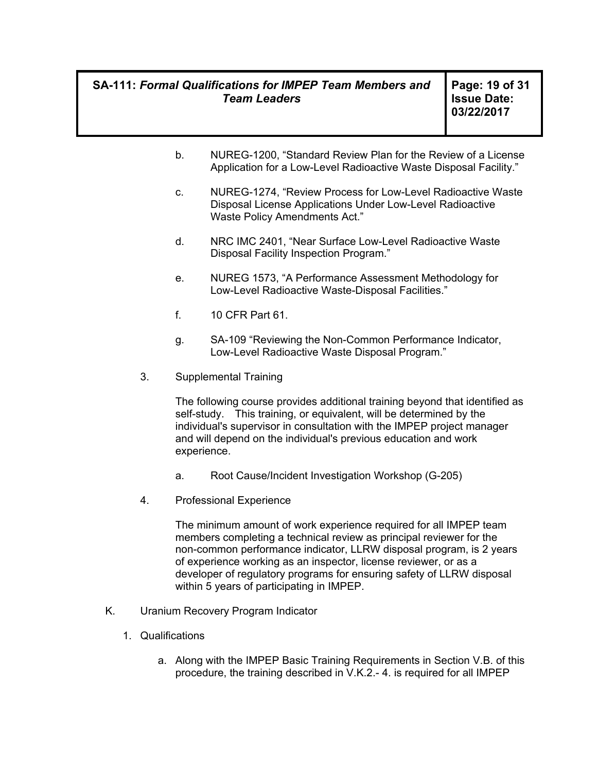**Page: 19 of 31 Issue Date: 03/22/2017** 

- b. NUREG-1200, "Standard Review Plan for the Review of a License Application for a Low-Level Radioactive Waste Disposal Facility."
- c. NUREG-1274, "Review Process for Low-Level Radioactive Waste Disposal License Applications Under Low-Level Radioactive Waste Policy Amendments Act."
- d. NRC IMC 2401, "Near Surface Low-Level Radioactive Waste Disposal Facility Inspection Program."
- e. NUREG 1573, "A Performance Assessment Methodology for Low-Level Radioactive Waste-Disposal Facilities."
- f. 10 CFR Part 61.
- g. SA-109 "Reviewing the Non-Common Performance Indicator, Low-Level Radioactive Waste Disposal Program."
- 3. Supplemental Training

The following course provides additional training beyond that identified as self-study. This training, or equivalent, will be determined by the individual's supervisor in consultation with the IMPEP project manager and will depend on the individual's previous education and work experience.

- a. Root Cause/Incident Investigation Workshop (G-205)
- 4. Professional Experience

The minimum amount of work experience required for all IMPEP team members completing a technical review as principal reviewer for the non-common performance indicator, LLRW disposal program, is 2 years of experience working as an inspector, license reviewer, or as a developer of regulatory programs for ensuring safety of LLRW disposal within 5 years of participating in IMPEP.

- K. Uranium Recovery Program Indicator
	- 1. Qualifications
		- a. Along with the IMPEP Basic Training Requirements in Section V.B. of this procedure, the training described in V.K.2.- 4. is required for all IMPEP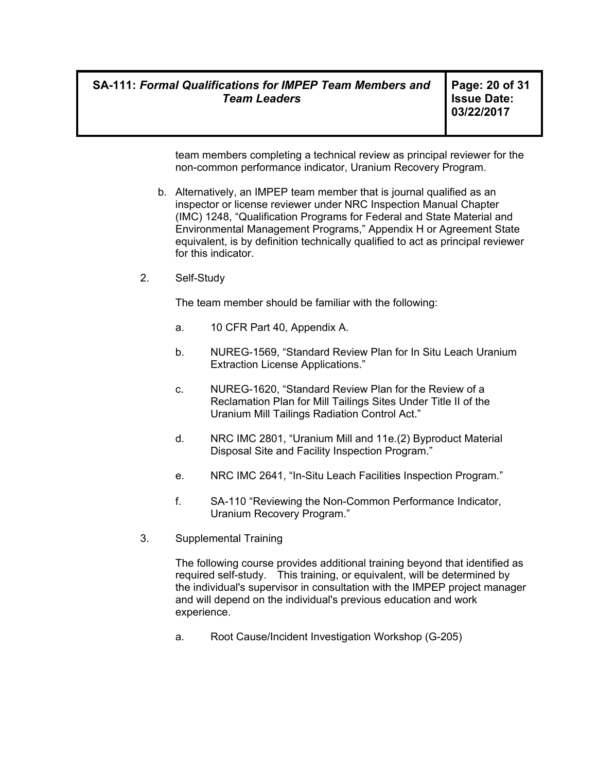**Page: 20 of 31 Issue Date: 03/22/2017** 

team members completing a technical review as principal reviewer for the non-common performance indicator, Uranium Recovery Program.

- b. Alternatively, an IMPEP team member that is journal qualified as an inspector or license reviewer under NRC Inspection Manual Chapter (IMC) 1248, "Qualification Programs for Federal and State Material and Environmental Management Programs," Appendix H or Agreement State equivalent, is by definition technically qualified to act as principal reviewer for this indicator.
- 2. Self-Study

The team member should be familiar with the following:

- a. 10 CFR Part 40, Appendix A.
- b. NUREG-1569, "Standard Review Plan for In Situ Leach Uranium Extraction License Applications."
- c. NUREG-1620, "Standard Review Plan for the Review of a Reclamation Plan for Mill Tailings Sites Under Title II of the Uranium Mill Tailings Radiation Control Act."
- d. NRC IMC 2801, "Uranium Mill and 11e.(2) Byproduct Material Disposal Site and Facility Inspection Program."
- e. NRC IMC 2641, "In-Situ Leach Facilities Inspection Program."
- f. SA-110 "Reviewing the Non-Common Performance Indicator, Uranium Recovery Program."
- 3. Supplemental Training

The following course provides additional training beyond that identified as required self-study. This training, or equivalent, will be determined by the individual's supervisor in consultation with the IMPEP project manager and will depend on the individual's previous education and work experience.

a. Root Cause/Incident Investigation Workshop (G-205)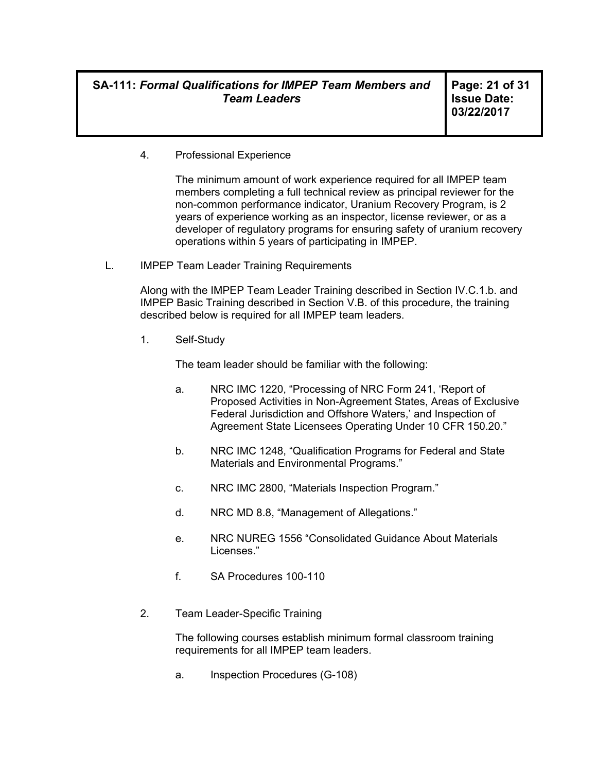**Page: 21 of 31 Issue Date: 03/22/2017** 

4. Professional Experience

The minimum amount of work experience required for all IMPEP team members completing a full technical review as principal reviewer for the non-common performance indicator, Uranium Recovery Program, is 2 years of experience working as an inspector, license reviewer, or as a developer of regulatory programs for ensuring safety of uranium recovery operations within 5 years of participating in IMPEP.

L. IMPEP Team Leader Training Requirements

Along with the IMPEP Team Leader Training described in Section IV.C.1.b. and IMPEP Basic Training described in Section V.B. of this procedure, the training described below is required for all IMPEP team leaders.

1. Self-Study

The team leader should be familiar with the following:

- a. NRC IMC 1220, "Processing of NRC Form 241, 'Report of Proposed Activities in Non-Agreement States, Areas of Exclusive Federal Jurisdiction and Offshore Waters,' and Inspection of Agreement State Licensees Operating Under 10 CFR 150.20."
- b. NRC IMC 1248, "Qualification Programs for Federal and State Materials and Environmental Programs."
- c. NRC IMC 2800, "Materials Inspection Program."
- d. NRC MD 8.8, "Management of Allegations."
- e. NRC NUREG 1556 "Consolidated Guidance About Materials Licenses."
- f. SA Procedures 100-110
- 2. Team Leader-Specific Training

The following courses establish minimum formal classroom training requirements for all IMPEP team leaders.

a. Inspection Procedures (G-108)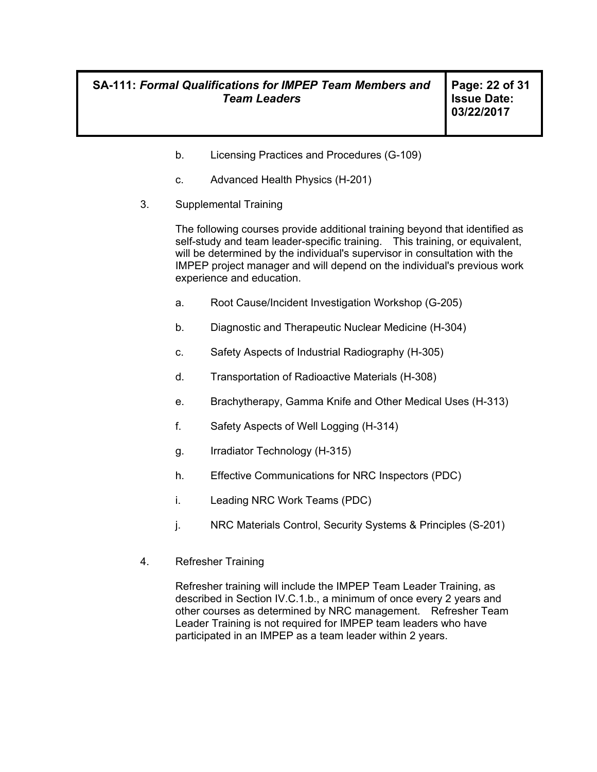- b. Licensing Practices and Procedures (G-109)
- c. Advanced Health Physics (H-201)
- 3. Supplemental Training

The following courses provide additional training beyond that identified as self-study and team leader-specific training. This training, or equivalent, will be determined by the individual's supervisor in consultation with the IMPEP project manager and will depend on the individual's previous work experience and education.

- a. Root Cause/Incident Investigation Workshop (G-205)
- b. Diagnostic and Therapeutic Nuclear Medicine (H-304)
- c. Safety Aspects of Industrial Radiography (H-305)
- d. Transportation of Radioactive Materials (H-308)
- e. Brachytherapy, Gamma Knife and Other Medical Uses (H-313)
- f. Safety Aspects of Well Logging (H-314)
- g. Irradiator Technology (H-315)
- h. Effective Communications for NRC Inspectors (PDC)
- i. Leading NRC Work Teams (PDC)
- j. NRC Materials Control, Security Systems & Principles (S-201)
- 4. Refresher Training

Refresher training will include the IMPEP Team Leader Training, as described in Section IV.C.1.b., a minimum of once every 2 years and other courses as determined by NRC management. Refresher Team Leader Training is not required for IMPEP team leaders who have participated in an IMPEP as a team leader within 2 years.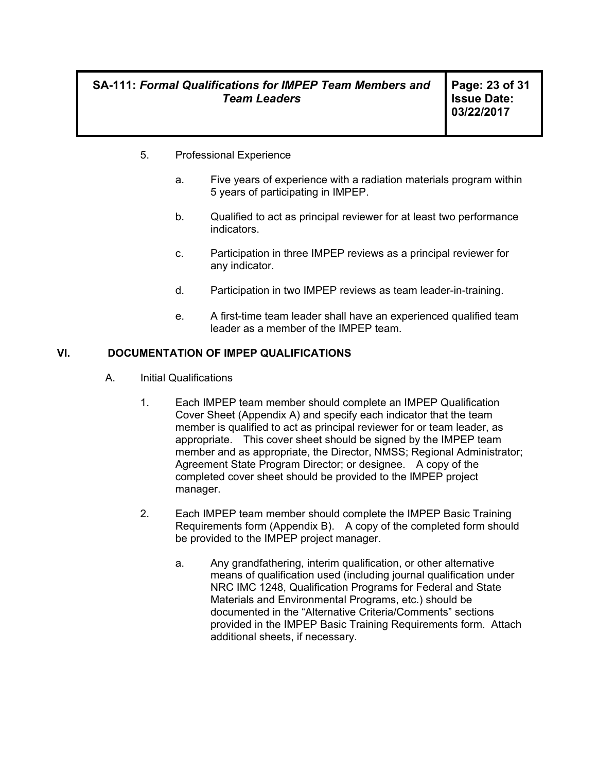**Page: 23 of 31 Issue Date: 03/22/2017** 

- 5. Professional Experience
	- a. Five years of experience with a radiation materials program within 5 years of participating in IMPEP.
	- b. Qualified to act as principal reviewer for at least two performance indicators.
	- c. Participation in three IMPEP reviews as a principal reviewer for any indicator.
	- d. Participation in two IMPEP reviews as team leader-in-training.
	- e. A first-time team leader shall have an experienced qualified team leader as a member of the IMPEP team.

#### **VI. DOCUMENTATION OF IMPEP QUALIFICATIONS**

- A. Initial Qualifications
	- 1. Each IMPEP team member should complete an IMPEP Qualification Cover Sheet (Appendix A) and specify each indicator that the team member is qualified to act as principal reviewer for or team leader, as appropriate. This cover sheet should be signed by the IMPEP team member and as appropriate, the Director, NMSS; Regional Administrator; Agreement State Program Director; or designee. A copy of the completed cover sheet should be provided to the IMPEP project manager.
	- 2. Each IMPEP team member should complete the IMPEP Basic Training Requirements form (Appendix B). A copy of the completed form should be provided to the IMPEP project manager.
		- a. Any grandfathering, interim qualification, or other alternative means of qualification used (including journal qualification under NRC IMC 1248, Qualification Programs for Federal and State Materials and Environmental Programs, etc.) should be documented in the "Alternative Criteria/Comments" sections provided in the IMPEP Basic Training Requirements form. Attach additional sheets, if necessary.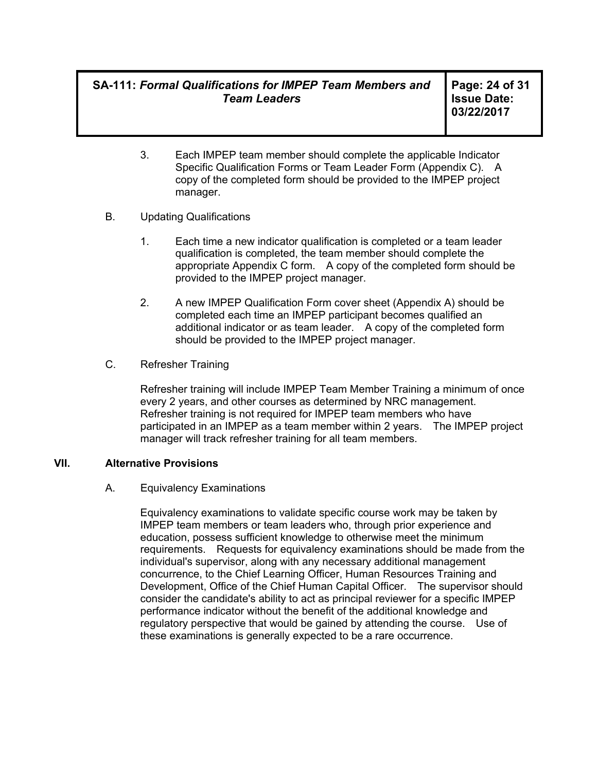**Page: 24 of 31 Issue Date: 03/22/2017** 

- 3. Each IMPEP team member should complete the applicable Indicator Specific Qualification Forms or Team Leader Form (Appendix C). A copy of the completed form should be provided to the IMPEP project manager.
- B. Updating Qualifications
	- 1. Each time a new indicator qualification is completed or a team leader qualification is completed, the team member should complete the appropriate Appendix C form. A copy of the completed form should be provided to the IMPEP project manager.
	- 2. A new IMPEP Qualification Form cover sheet (Appendix A) should be completed each time an IMPEP participant becomes qualified an additional indicator or as team leader. A copy of the completed form should be provided to the IMPEP project manager.
- C. Refresher Training

Refresher training will include IMPEP Team Member Training a minimum of once every 2 years, and other courses as determined by NRC management. Refresher training is not required for IMPEP team members who have participated in an IMPEP as a team member within 2 years. The IMPEP project manager will track refresher training for all team members.

#### **VII. Alternative Provisions**

#### A. Equivalency Examinations

Equivalency examinations to validate specific course work may be taken by IMPEP team members or team leaders who, through prior experience and education, possess sufficient knowledge to otherwise meet the minimum requirements. Requests for equivalency examinations should be made from the individual's supervisor, along with any necessary additional management concurrence, to the Chief Learning Officer, Human Resources Training and Development, Office of the Chief Human Capital Officer. The supervisor should consider the candidate's ability to act as principal reviewer for a specific IMPEP performance indicator without the benefit of the additional knowledge and regulatory perspective that would be gained by attending the course. Use of these examinations is generally expected to be a rare occurrence.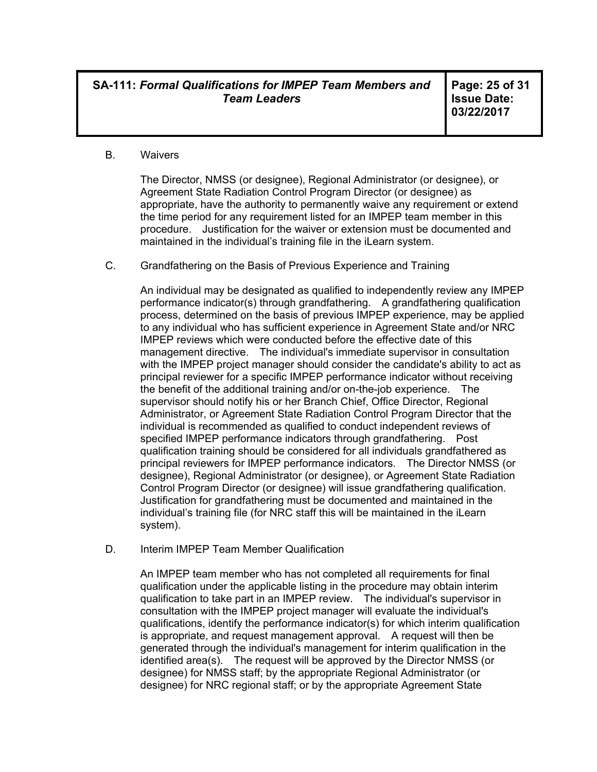**Page: 25 of 31 Issue Date: 03/22/2017** 

#### B. Waivers

The Director, NMSS (or designee), Regional Administrator (or designee), or Agreement State Radiation Control Program Director (or designee) as appropriate, have the authority to permanently waive any requirement or extend the time period for any requirement listed for an IMPEP team member in this procedure. Justification for the waiver or extension must be documented and maintained in the individual's training file in the iLearn system.

C. Grandfathering on the Basis of Previous Experience and Training

An individual may be designated as qualified to independently review any IMPEP performance indicator(s) through grandfathering. A grandfathering qualification process, determined on the basis of previous IMPEP experience, may be applied to any individual who has sufficient experience in Agreement State and/or NRC IMPEP reviews which were conducted before the effective date of this management directive. The individual's immediate supervisor in consultation with the IMPEP project manager should consider the candidate's ability to act as principal reviewer for a specific IMPEP performance indicator without receiving the benefit of the additional training and/or on-the-job experience. The supervisor should notify his or her Branch Chief, Office Director, Regional Administrator, or Agreement State Radiation Control Program Director that the individual is recommended as qualified to conduct independent reviews of specified IMPEP performance indicators through grandfathering. Post qualification training should be considered for all individuals grandfathered as principal reviewers for IMPEP performance indicators. The Director NMSS (or designee), Regional Administrator (or designee), or Agreement State Radiation Control Program Director (or designee) will issue grandfathering qualification. Justification for grandfathering must be documented and maintained in the individual's training file (for NRC staff this will be maintained in the iLearn system).

D. Interim IMPEP Team Member Qualification

An IMPEP team member who has not completed all requirements for final qualification under the applicable listing in the procedure may obtain interim qualification to take part in an IMPEP review. The individual's supervisor in consultation with the IMPEP project manager will evaluate the individual's qualifications, identify the performance indicator(s) for which interim qualification is appropriate, and request management approval. A request will then be generated through the individual's management for interim qualification in the identified area(s). The request will be approved by the Director NMSS (or designee) for NMSS staff; by the appropriate Regional Administrator (or designee) for NRC regional staff; or by the appropriate Agreement State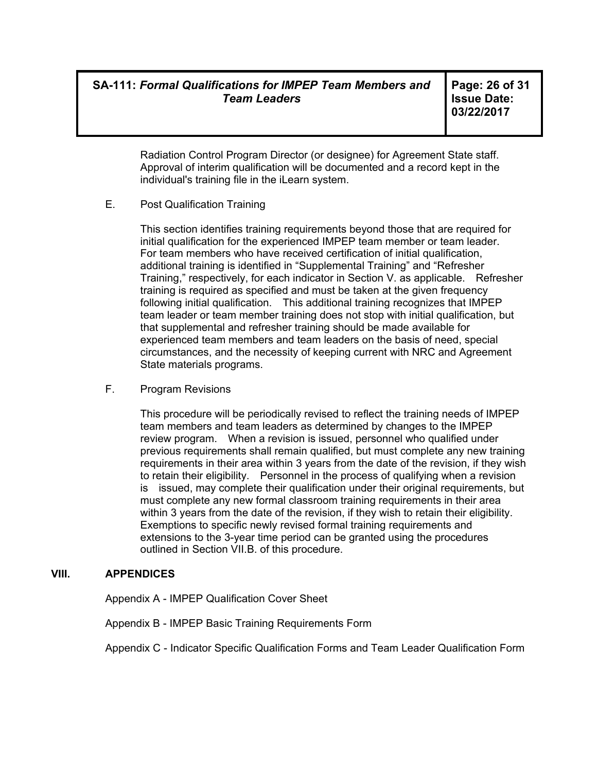**Page: 26 of 31 Issue Date: 03/22/2017** 

Radiation Control Program Director (or designee) for Agreement State staff. Approval of interim qualification will be documented and a record kept in the individual's training file in the iLearn system.

E. Post Qualification Training

This section identifies training requirements beyond those that are required for initial qualification for the experienced IMPEP team member or team leader. For team members who have received certification of initial qualification, additional training is identified in "Supplemental Training" and "Refresher Training," respectively, for each indicator in Section V. as applicable. Refresher training is required as specified and must be taken at the given frequency following initial qualification. This additional training recognizes that IMPEP team leader or team member training does not stop with initial qualification, but that supplemental and refresher training should be made available for experienced team members and team leaders on the basis of need, special circumstances, and the necessity of keeping current with NRC and Agreement State materials programs.

F. Program Revisions

This procedure will be periodically revised to reflect the training needs of IMPEP team members and team leaders as determined by changes to the IMPEP review program. When a revision is issued, personnel who qualified under previous requirements shall remain qualified, but must complete any new training requirements in their area within 3 years from the date of the revision, if they wish to retain their eligibility. Personnel in the process of qualifying when a revision is issued, may complete their qualification under their original requirements, but must complete any new formal classroom training requirements in their area within 3 years from the date of the revision, if they wish to retain their eligibility. Exemptions to specific newly revised formal training requirements and extensions to the 3-year time period can be granted using the procedures outlined in Section VII.B. of this procedure.

### **VIII. APPENDICES**

Appendix A - IMPEP Qualification Cover Sheet

Appendix B - IMPEP Basic Training Requirements Form

Appendix C - Indicator Specific Qualification Forms and Team Leader Qualification Form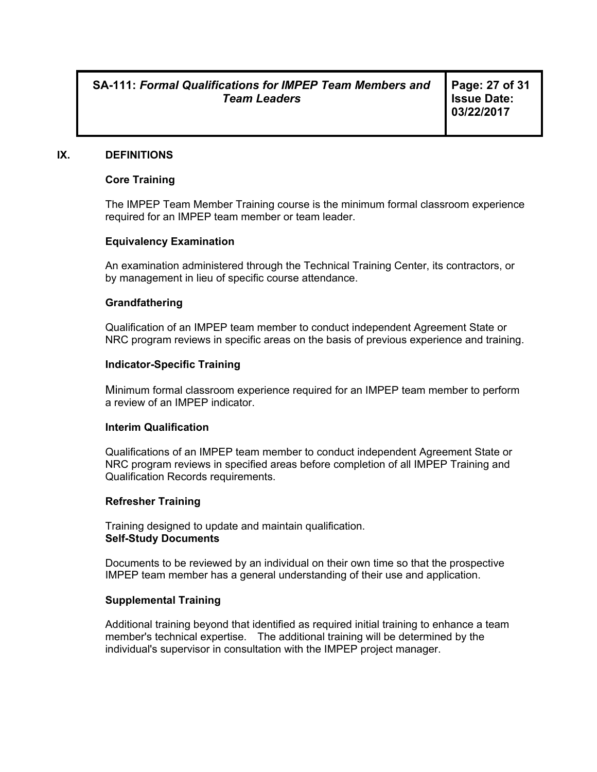**Page: 27 of 31 Issue Date: 03/22/2017** 

#### **IX. DEFINITIONS**

#### **Core Training**

The IMPEP Team Member Training course is the minimum formal classroom experience required for an IMPEP team member or team leader.

#### **Equivalency Examination**

An examination administered through the Technical Training Center, its contractors, or by management in lieu of specific course attendance.

#### **Grandfathering**

Qualification of an IMPEP team member to conduct independent Agreement State or NRC program reviews in specific areas on the basis of previous experience and training.

#### **Indicator-Specific Training**

Minimum formal classroom experience required for an IMPEP team member to perform a review of an IMPEP indicator.

#### **Interim Qualification**

Qualifications of an IMPEP team member to conduct independent Agreement State or NRC program reviews in specified areas before completion of all IMPEP Training and Qualification Records requirements.

#### **Refresher Training**

Training designed to update and maintain qualification. **Self-Study Documents** 

Documents to be reviewed by an individual on their own time so that the prospective IMPEP team member has a general understanding of their use and application.

#### **Supplemental Training**

Additional training beyond that identified as required initial training to enhance a team member's technical expertise. The additional training will be determined by the individual's supervisor in consultation with the IMPEP project manager.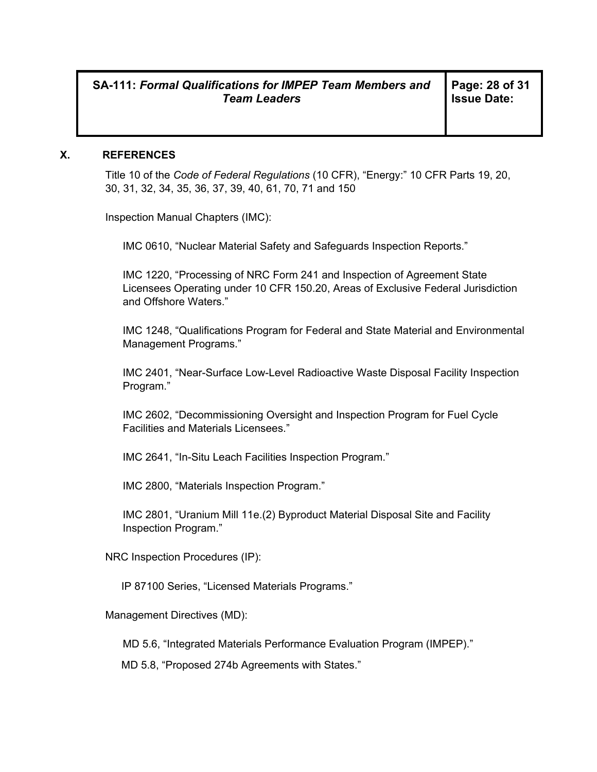#### **X. REFERENCES**

Title 10 of the *Code of Federal Regulations* (10 CFR), "Energy:" 10 CFR Parts 19, 20, 30, 31, 32, 34, 35, 36, 37, 39, 40, 61, 70, 71 and 150

Inspection Manual Chapters (IMC):

IMC 0610, "Nuclear Material Safety and Safeguards Inspection Reports."

IMC 1220, "Processing of NRC Form 241 and Inspection of Agreement State Licensees Operating under 10 CFR 150.20, Areas of Exclusive Federal Jurisdiction and Offshore Waters."

IMC 1248, "Qualifications Program for Federal and State Material and Environmental Management Programs."

IMC 2401, "Near-Surface Low-Level Radioactive Waste Disposal Facility Inspection Program."

IMC 2602, "Decommissioning Oversight and Inspection Program for Fuel Cycle Facilities and Materials Licensees."

IMC 2641, "In-Situ Leach Facilities Inspection Program."

IMC 2800, "Materials Inspection Program."

IMC 2801, "Uranium Mill 11e.(2) Byproduct Material Disposal Site and Facility Inspection Program."

NRC Inspection Procedures (IP):

IP 87100 Series, "Licensed Materials Programs."

Management Directives (MD):

MD 5.6, "Integrated Materials Performance Evaluation Program (IMPEP)."

MD 5.8, "Proposed 274b Agreements with States."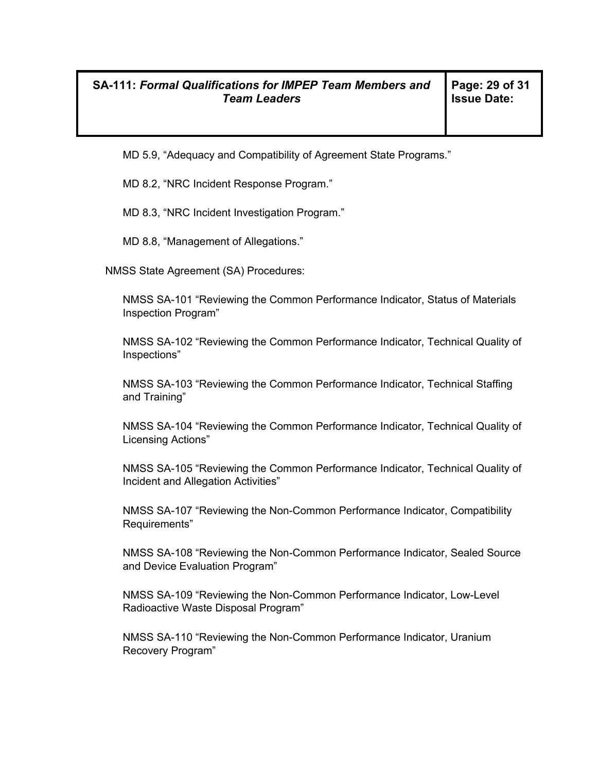MD 5.9, "Adequacy and Compatibility of Agreement State Programs."

MD 8.2, "NRC Incident Response Program."

MD 8.3, "NRC Incident Investigation Program."

MD 8.8, "Management of Allegations."

NMSS State Agreement (SA) Procedures:

NMSS SA-101 "Reviewing the Common Performance Indicator, Status of Materials Inspection Program"

NMSS SA-102 "Reviewing the Common Performance Indicator, Technical Quality of Inspections"

NMSS SA-103 "Reviewing the Common Performance Indicator, Technical Staffing and Training"

NMSS SA-104 "Reviewing the Common Performance Indicator, Technical Quality of Licensing Actions"

NMSS SA-105 "Reviewing the Common Performance Indicator, Technical Quality of Incident and Allegation Activities"

NMSS SA-107 "Reviewing the Non-Common Performance Indicator, Compatibility Requirements"

NMSS SA-108 "Reviewing the Non-Common Performance Indicator, Sealed Source and Device Evaluation Program"

NMSS SA-109 "Reviewing the Non-Common Performance Indicator, Low-Level Radioactive Waste Disposal Program"

NMSS SA-110 "Reviewing the Non-Common Performance Indicator, Uranium Recovery Program"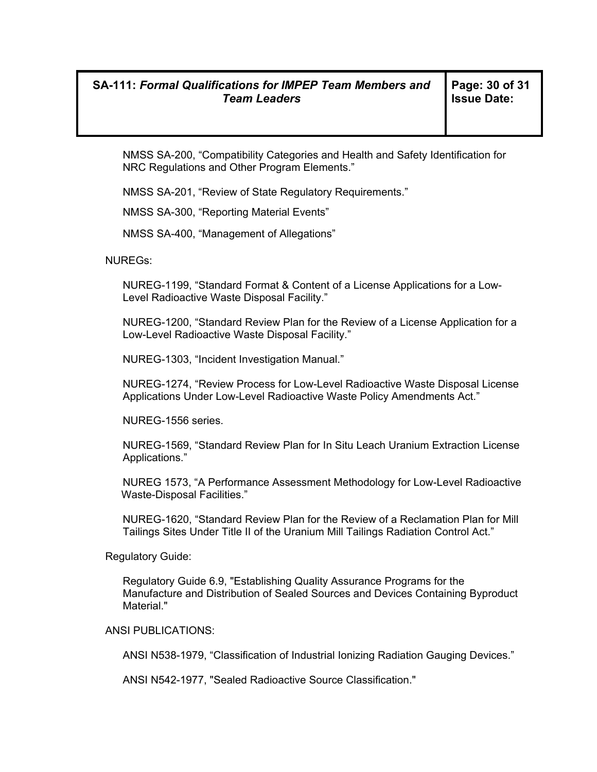NMSS SA-200, "Compatibility Categories and Health and Safety Identification for NRC Regulations and Other Program Elements."

NMSS SA-201, "Review of State Regulatory Requirements."

NMSS SA-300, "Reporting Material Events"

NMSS SA-400, "Management of Allegations"

NUREGs:

NUREG-1199, "Standard Format & Content of a License Applications for a Low-Level Radioactive Waste Disposal Facility."

NUREG-1200, "Standard Review Plan for the Review of a License Application for a Low-Level Radioactive Waste Disposal Facility."

NUREG-1303, "Incident Investigation Manual."

NUREG-1274, "Review Process for Low-Level Radioactive Waste Disposal License Applications Under Low-Level Radioactive Waste Policy Amendments Act."

NUREG-1556 series.

NUREG-1569, "Standard Review Plan for In Situ Leach Uranium Extraction License Applications."

 NUREG 1573, "A Performance Assessment Methodology for Low-Level Radioactive Waste-Disposal Facilities."

NUREG-1620, "Standard Review Plan for the Review of a Reclamation Plan for Mill Tailings Sites Under Title II of the Uranium Mill Tailings Radiation Control Act."

Regulatory Guide:

Regulatory Guide 6.9, "Establishing Quality Assurance Programs for the Manufacture and Distribution of Sealed Sources and Devices Containing Byproduct Material."

#### ANSI PUBLICATIONS:

ANSI N538-1979, "Classification of Industrial Ionizing Radiation Gauging Devices."

ANSI N542-1977, "Sealed Radioactive Source Classification."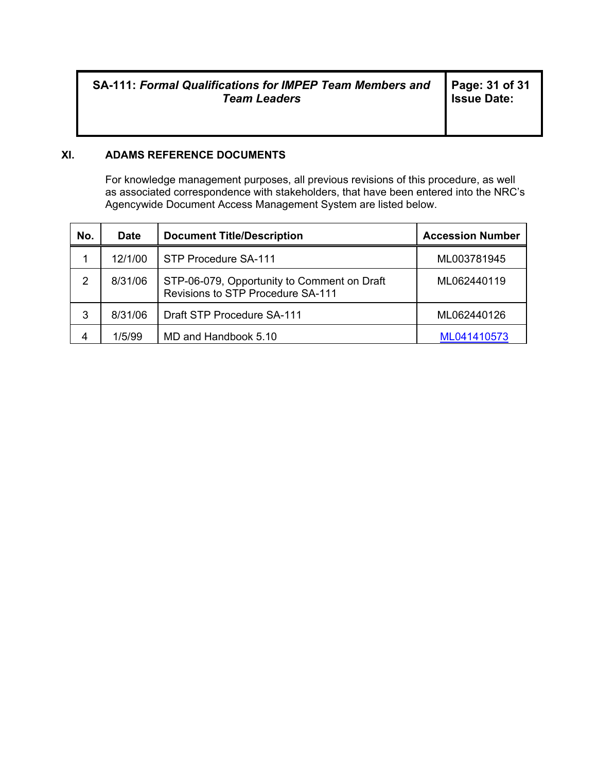### **XI. ADAMS REFERENCE DOCUMENTS**

For knowledge management purposes, all previous revisions of this procedure, as well as associated correspondence with stakeholders, that have been entered into the NRC's Agencywide Document Access Management System are listed below.

| No. | <b>Date</b> | <b>Document Title/Description</b>                                                | <b>Accession Number</b> |
|-----|-------------|----------------------------------------------------------------------------------|-------------------------|
|     | 12/1/00     | STP Procedure SA-111                                                             | ML003781945             |
| 2   | 8/31/06     | STP-06-079, Opportunity to Comment on Draft<br>Revisions to STP Procedure SA-111 | ML062440119             |
| 3   | 8/31/06     | Draft STP Procedure SA-111                                                       | ML062440126             |
| 4   | 1/5/99      | MD and Handbook 5.10                                                             | ML041410573             |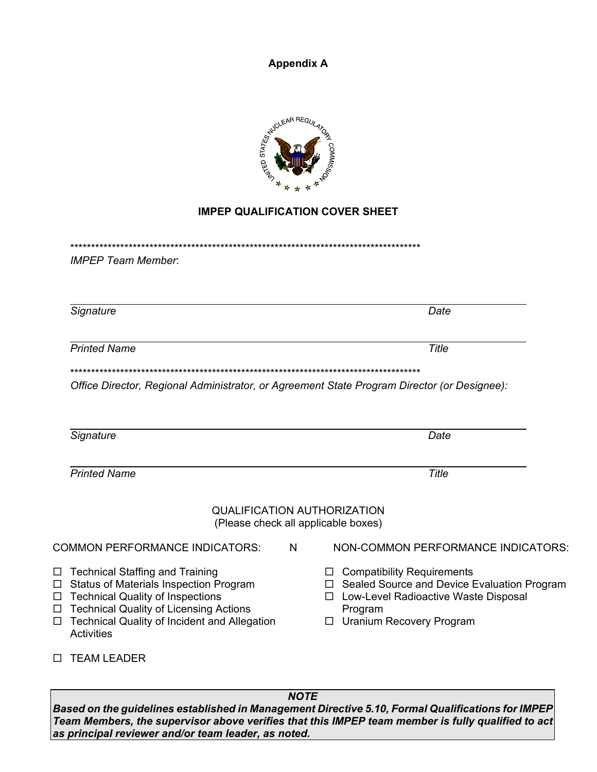**Appendix A**



### **IMPEP QUALIFICATION COVER SHEET**

\*\*\*\*\*\*\*\*\*\*\*\*\*\*\*\*\*\*\*\*\*\*\*\*\*\*\*\*\*\*\*\*\*\*\*\*\*\*\*\*\*\*\*\*\*\*\*\*\*\*\*\*\*\*\*\*\*\*\*\*\*\*\*\*\*\*\*\*\*\*\*\*\*\*\*\*\*\*\*\*\*\*\*\*

*IMPEP Team Member*:

**Signature** Date

**Printed Name** Title

\*\*\*\*\*\*\*\*\*\*\*\*\*\*\*\*\*\*\*\*\*\*\*\*\*\*\*\*\*\*\*\*\*\*\*\*\*\*\*\*\*\*\*\*\*\*\*\*\*\*\*\*\*\*\*\*\*\*\*\*\*\*\*\*\*\*\*\*\*\*\*\*\*\*\*\*\*\*\*\*\*\*\*\*

*Office Director, Regional Administrator, or Agreement State Program Director (or Designee):*

| Signature                                                                                                                                                                                                                                           |                  | Date                                                                                                                                                                   |
|-----------------------------------------------------------------------------------------------------------------------------------------------------------------------------------------------------------------------------------------------------|------------------|------------------------------------------------------------------------------------------------------------------------------------------------------------------------|
| <b>Printed Name</b>                                                                                                                                                                                                                                 |                  | Title                                                                                                                                                                  |
| <b>QUALIFICATION AUTHORIZATION</b><br>(Please check all applicable boxes)                                                                                                                                                                           |                  |                                                                                                                                                                        |
| <b>COMMON PERFORMANCE INDICATORS:</b>                                                                                                                                                                                                               | N                | NON-COMMON PERFORMANCE INDICATORS:                                                                                                                                     |
| $\Box$ Technical Staffing and Training<br>$\Box$ Status of Materials Inspection Program<br>$\Box$ Technical Quality of Inspections<br>□ Technical Quality of Licensing Actions<br>$\Box$ Technical Quality of Incident and Allegation<br>Activities | $\Box$<br>П<br>□ | <b>Compatibility Requirements</b><br>Sealed Source and Device Evaluation Program<br>Low-Level Radioactive Waste Disposal<br>Program<br><b>Uranium Recovery Program</b> |

**D** TEAM LEADER

*NOTE* 

*Based on the guidelines established in Management Directive 5.10, Formal Qualifications for IMPEP Team Members, the supervisor above verifies that this IMPEP team member is fully qualified to act as principal reviewer and/or team leader, as noted.*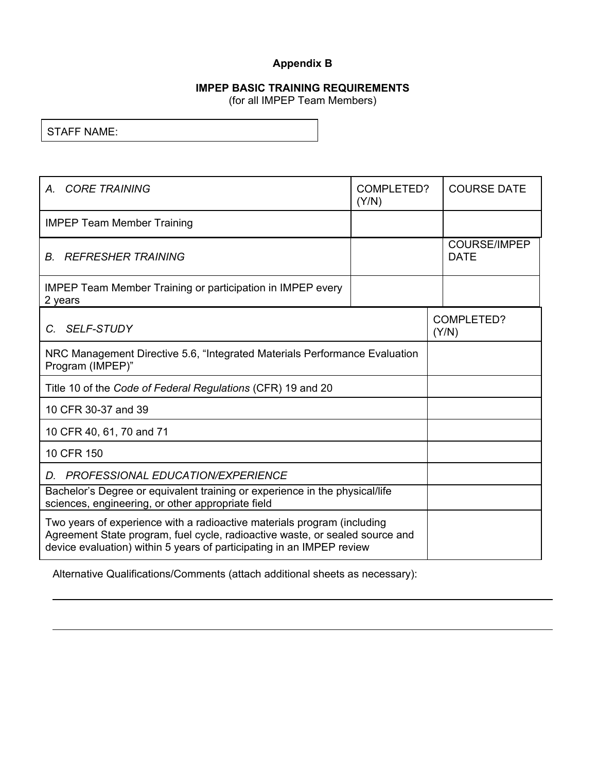### **Appendix B**

# **IMPEP BASIC TRAINING REQUIREMENTS**

(for all IMPEP Team Members)

STAFF NAME:

| A. CORE TRAINING                                                                                                                                                                                                                 | COMPLETED?<br>(Y/N) | <b>COURSE DATE</b>                 |
|----------------------------------------------------------------------------------------------------------------------------------------------------------------------------------------------------------------------------------|---------------------|------------------------------------|
| <b>IMPEP Team Member Training</b>                                                                                                                                                                                                |                     |                                    |
| <b>REFRESHER TRAINING</b><br>B.                                                                                                                                                                                                  |                     | <b>COURSE/IMPEP</b><br><b>DATE</b> |
| <b>IMPEP Team Member Training or participation in IMPEP every</b><br>2 years                                                                                                                                                     |                     |                                    |
| <b>SELF-STUDY</b><br>C.                                                                                                                                                                                                          |                     | COMPLETED?<br>(Y/N)                |
| NRC Management Directive 5.6, "Integrated Materials Performance Evaluation<br>Program (IMPEP)"                                                                                                                                   |                     |                                    |
| Title 10 of the Code of Federal Regulations (CFR) 19 and 20                                                                                                                                                                      |                     |                                    |
| 10 CFR 30-37 and 39                                                                                                                                                                                                              |                     |                                    |
| 10 CFR 40, 61, 70 and 71                                                                                                                                                                                                         |                     |                                    |
| 10 CFR 150                                                                                                                                                                                                                       |                     |                                    |
| D. PROFESSIONAL EDUCATION/EXPERIENCE                                                                                                                                                                                             |                     |                                    |
| Bachelor's Degree or equivalent training or experience in the physical/life<br>sciences, engineering, or other appropriate field                                                                                                 |                     |                                    |
| Two years of experience with a radioactive materials program (including<br>Agreement State program, fuel cycle, radioactive waste, or sealed source and<br>device evaluation) within 5 years of participating in an IMPEP review |                     |                                    |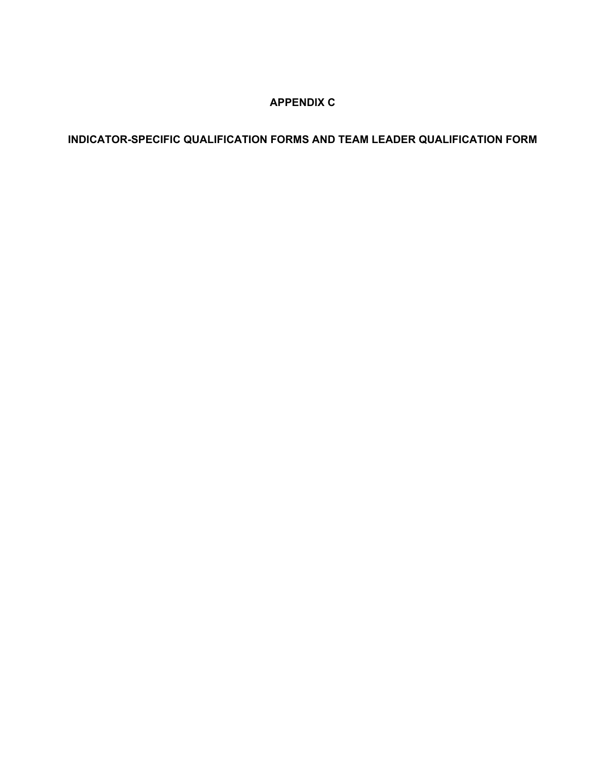### **APPENDIX C**

**INDICATOR-SPECIFIC QUALIFICATION FORMS AND TEAM LEADER QUALIFICATION FORM**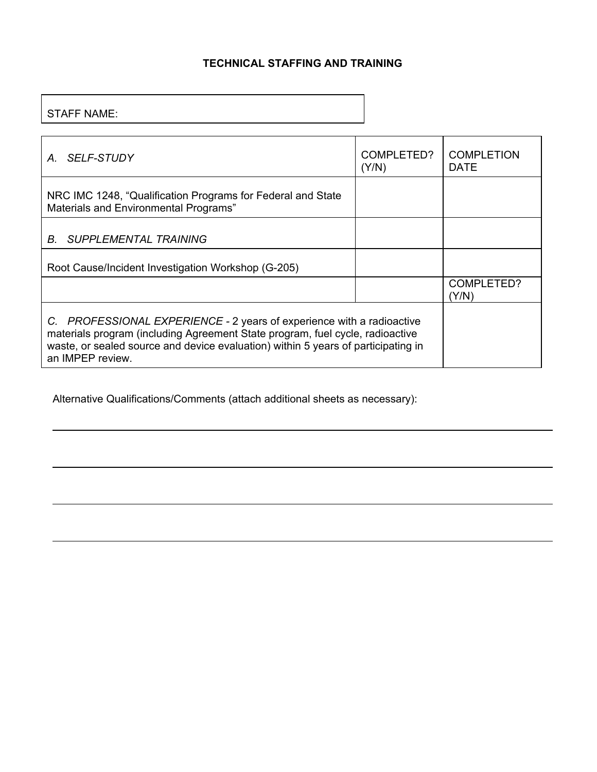### **TECHNICAL STAFFING AND TRAINING**

### STAFF NAME:

| SELF-STUDY<br>$A_{\cdot}$                                                                                                                                                                                                                                       | COMPLETED?<br>(Y/N) | <b>COMPLETION</b><br><b>DATE</b> |
|-----------------------------------------------------------------------------------------------------------------------------------------------------------------------------------------------------------------------------------------------------------------|---------------------|----------------------------------|
| NRC IMC 1248, "Qualification Programs for Federal and State"<br>Materials and Environmental Programs"                                                                                                                                                           |                     |                                  |
| B.<br><b>SUPPLEMENTAL TRAINING</b>                                                                                                                                                                                                                              |                     |                                  |
| Root Cause/Incident Investigation Workshop (G-205)                                                                                                                                                                                                              |                     |                                  |
|                                                                                                                                                                                                                                                                 |                     | COMPLETED?<br>(Y/N)              |
| C. PROFESSIONAL EXPERIENCE - 2 years of experience with a radioactive<br>materials program (including Agreement State program, fuel cycle, radioactive<br>waste, or sealed source and device evaluation) within 5 years of participating in<br>an IMPEP review. |                     |                                  |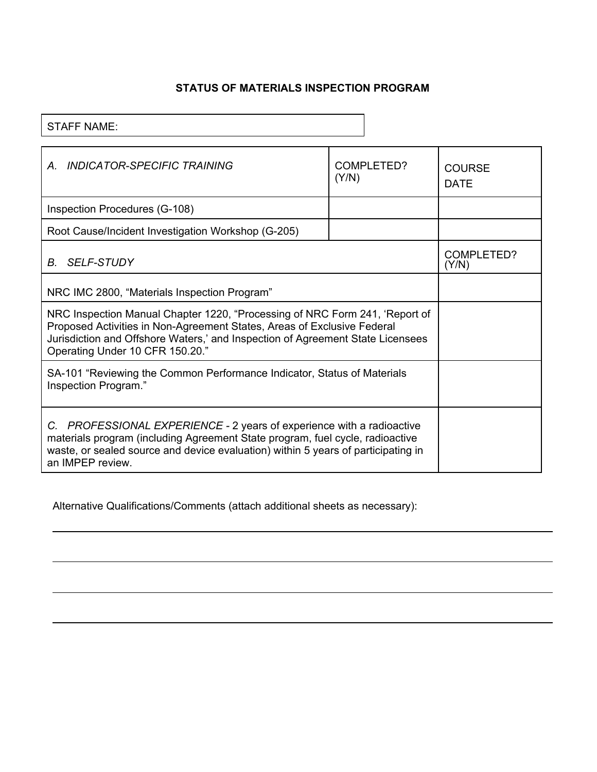# **STATUS OF MATERIALS INSPECTION PROGRAM**

STAFF NAME:

| INDICATOR-SPECIFIC TRAINING<br>A                                                                                                                                                                                                                                            | COMPLETED?<br>(Y/N) | COURSE<br><b>DATE</b> |
|-----------------------------------------------------------------------------------------------------------------------------------------------------------------------------------------------------------------------------------------------------------------------------|---------------------|-----------------------|
| Inspection Procedures (G-108)                                                                                                                                                                                                                                               |                     |                       |
| Root Cause/Incident Investigation Workshop (G-205)                                                                                                                                                                                                                          |                     |                       |
| B. SELF-STUDY                                                                                                                                                                                                                                                               |                     | COMPLETED?<br>(Y/N)   |
| NRC IMC 2800, "Materials Inspection Program"                                                                                                                                                                                                                                |                     |                       |
| NRC Inspection Manual Chapter 1220, "Processing of NRC Form 241, 'Report of<br>Proposed Activities in Non-Agreement States, Areas of Exclusive Federal<br>Jurisdiction and Offshore Waters,' and Inspection of Agreement State Licensees<br>Operating Under 10 CFR 150.20." |                     |                       |
| SA-101 "Reviewing the Common Performance Indicator, Status of Materials<br>Inspection Program."                                                                                                                                                                             |                     |                       |
| C. PROFESSIONAL EXPERIENCE - 2 years of experience with a radioactive<br>materials program (including Agreement State program, fuel cycle, radioactive<br>waste, or sealed source and device evaluation) within 5 years of participating in<br>an IMPEP review.             |                     |                       |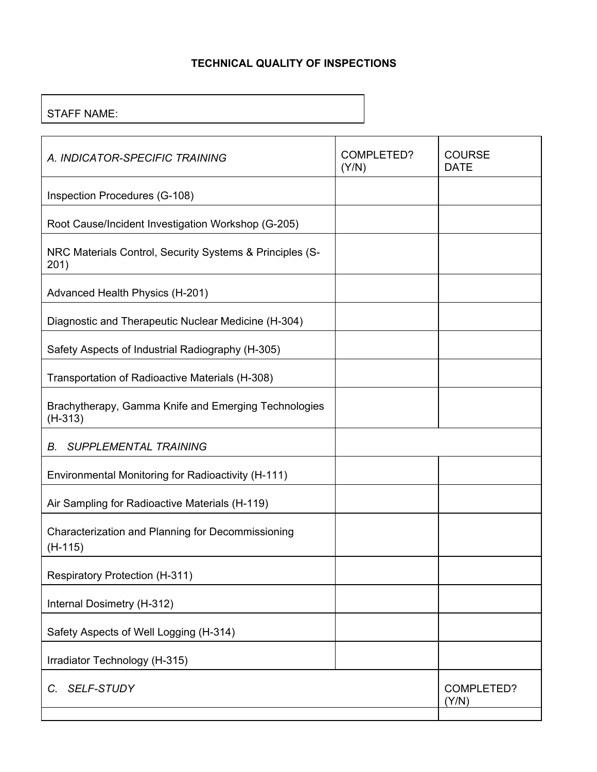### **TECHNICAL QUALITY OF INSPECTIONS**

STAFF NAME:

| A. INDICATOR-SPECIFIC TRAINING                                    | COMPLETED?<br>(Y/N) | <b>COURSE</b><br><b>DATE</b> |
|-------------------------------------------------------------------|---------------------|------------------------------|
| Inspection Procedures (G-108)                                     |                     |                              |
| Root Cause/Incident Investigation Workshop (G-205)                |                     |                              |
| NRC Materials Control, Security Systems & Principles (S-<br>201)  |                     |                              |
| Advanced Health Physics (H-201)                                   |                     |                              |
| Diagnostic and Therapeutic Nuclear Medicine (H-304)               |                     |                              |
| Safety Aspects of Industrial Radiography (H-305)                  |                     |                              |
| Transportation of Radioactive Materials (H-308)                   |                     |                              |
| Brachytherapy, Gamma Knife and Emerging Technologies<br>$(H-313)$ |                     |                              |
| <b>SUPPLEMENTAL TRAINING</b><br>В.                                |                     |                              |
| Environmental Monitoring for Radioactivity (H-111)                |                     |                              |
| Air Sampling for Radioactive Materials (H-119)                    |                     |                              |
| Characterization and Planning for Decommissioning<br>$(H-115)$    |                     |                              |
| Respiratory Protection (H-311)                                    |                     |                              |
| Internal Dosimetry (H-312)                                        |                     |                              |
| Safety Aspects of Well Logging (H-314)                            |                     |                              |
| Irradiator Technology (H-315)                                     |                     |                              |
| <b>SELF-STUDY</b><br>C.                                           |                     | COMPLETED?<br>(Y/N)          |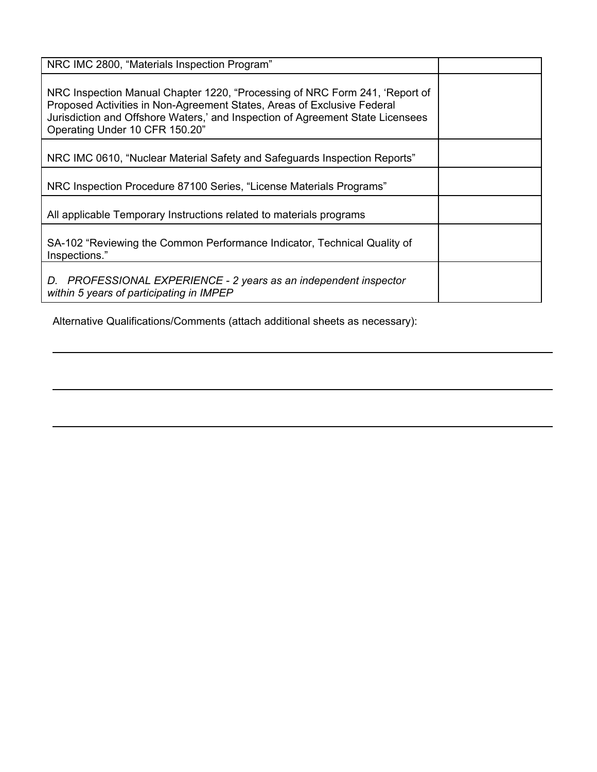| NRC IMC 2800, "Materials Inspection Program"                                                                                                                                                                                                                               |  |
|----------------------------------------------------------------------------------------------------------------------------------------------------------------------------------------------------------------------------------------------------------------------------|--|
| NRC Inspection Manual Chapter 1220, "Processing of NRC Form 241, 'Report of<br>Proposed Activities in Non-Agreement States, Areas of Exclusive Federal<br>Jurisdiction and Offshore Waters,' and Inspection of Agreement State Licensees<br>Operating Under 10 CFR 150.20" |  |
| NRC IMC 0610, "Nuclear Material Safety and Safeguards Inspection Reports"                                                                                                                                                                                                  |  |
| NRC Inspection Procedure 87100 Series, "License Materials Programs"                                                                                                                                                                                                        |  |
| All applicable Temporary Instructions related to materials programs                                                                                                                                                                                                        |  |
| SA-102 "Reviewing the Common Performance Indicator, Technical Quality of<br>Inspections."                                                                                                                                                                                  |  |
| PROFESSIONAL EXPERIENCE - 2 years as an independent inspector<br>D.<br>within 5 years of participating in IMPEP                                                                                                                                                            |  |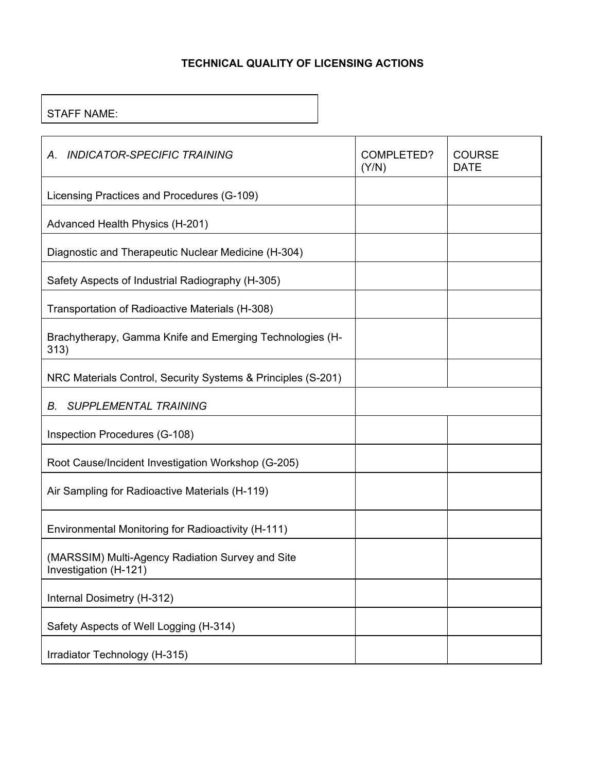# **TECHNICAL QUALITY OF LICENSING ACTIONS**

### STAFF NAME:

| <b>INDICATOR-SPECIFIC TRAINING</b><br>А.                                  | COMPLETED?<br>(Y/N) | <b>COURSE</b><br><b>DATE</b> |
|---------------------------------------------------------------------------|---------------------|------------------------------|
| Licensing Practices and Procedures (G-109)                                |                     |                              |
| Advanced Health Physics (H-201)                                           |                     |                              |
| Diagnostic and Therapeutic Nuclear Medicine (H-304)                       |                     |                              |
| Safety Aspects of Industrial Radiography (H-305)                          |                     |                              |
| Transportation of Radioactive Materials (H-308)                           |                     |                              |
| Brachytherapy, Gamma Knife and Emerging Technologies (H-<br>313)          |                     |                              |
| NRC Materials Control, Security Systems & Principles (S-201)              |                     |                              |
| <b>SUPPLEMENTAL TRAINING</b><br>В.                                        |                     |                              |
| Inspection Procedures (G-108)                                             |                     |                              |
| Root Cause/Incident Investigation Workshop (G-205)                        |                     |                              |
| Air Sampling for Radioactive Materials (H-119)                            |                     |                              |
| Environmental Monitoring for Radioactivity (H-111)                        |                     |                              |
| (MARSSIM) Multi-Agency Radiation Survey and Site<br>Investigation (H-121) |                     |                              |
| Internal Dosimetry (H-312)                                                |                     |                              |
| Safety Aspects of Well Logging (H-314)                                    |                     |                              |
| Irradiator Technology (H-315)                                             |                     |                              |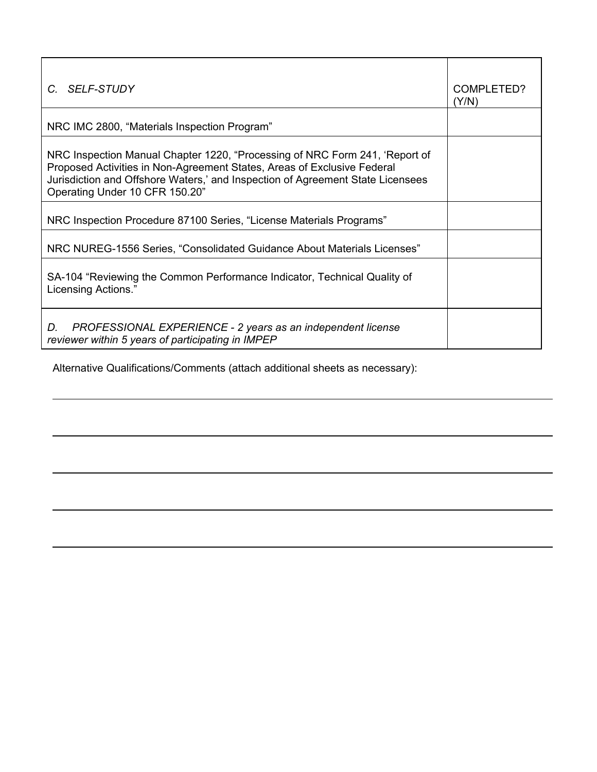| C. SELF-STUDY                                                                                                                                                                                                                                                              | COMPLETED?<br>(Y/N) |
|----------------------------------------------------------------------------------------------------------------------------------------------------------------------------------------------------------------------------------------------------------------------------|---------------------|
| NRC IMC 2800, "Materials Inspection Program"                                                                                                                                                                                                                               |                     |
| NRC Inspection Manual Chapter 1220, "Processing of NRC Form 241, 'Report of<br>Proposed Activities in Non-Agreement States, Areas of Exclusive Federal<br>Jurisdiction and Offshore Waters,' and Inspection of Agreement State Licensees<br>Operating Under 10 CFR 150.20" |                     |
| NRC Inspection Procedure 87100 Series, "License Materials Programs"                                                                                                                                                                                                        |                     |
| NRC NUREG-1556 Series, "Consolidated Guidance About Materials Licenses"                                                                                                                                                                                                    |                     |
| SA-104 "Reviewing the Common Performance Indicator, Technical Quality of<br>Licensing Actions."                                                                                                                                                                            |                     |
| PROFESSIONAL EXPERIENCE - 2 years as an independent license<br>D.<br>reviewer within 5 years of participating in IMPEP                                                                                                                                                     |                     |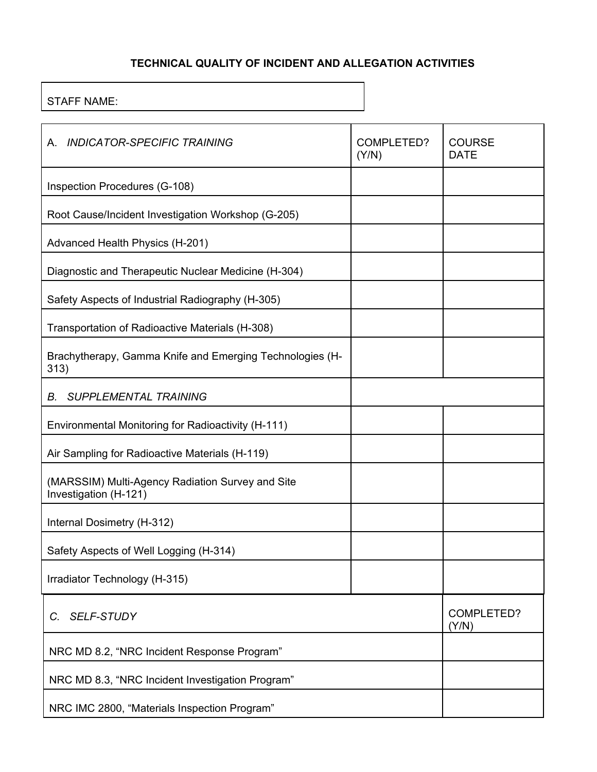# **TECHNICAL QUALITY OF INCIDENT AND ALLEGATION ACTIVITIES**

# STAFF NAME:

| <b>INDICATOR-SPECIFIC TRAINING</b><br>А.                                  | COMPLETED?<br>(Y/N) | <b>COURSE</b><br><b>DATE</b> |
|---------------------------------------------------------------------------|---------------------|------------------------------|
| Inspection Procedures (G-108)                                             |                     |                              |
| Root Cause/Incident Investigation Workshop (G-205)                        |                     |                              |
| Advanced Health Physics (H-201)                                           |                     |                              |
| Diagnostic and Therapeutic Nuclear Medicine (H-304)                       |                     |                              |
| Safety Aspects of Industrial Radiography (H-305)                          |                     |                              |
| Transportation of Radioactive Materials (H-308)                           |                     |                              |
| Brachytherapy, Gamma Knife and Emerging Technologies (H-<br>313)          |                     |                              |
| <b>SUPPLEMENTAL TRAINING</b><br>В.                                        |                     |                              |
| Environmental Monitoring for Radioactivity (H-111)                        |                     |                              |
| Air Sampling for Radioactive Materials (H-119)                            |                     |                              |
| (MARSSIM) Multi-Agency Radiation Survey and Site<br>Investigation (H-121) |                     |                              |
| Internal Dosimetry (H-312)                                                |                     |                              |
| Safety Aspects of Well Logging (H-314)                                    |                     |                              |
| Irradiator Technology (H-315)                                             |                     |                              |
| <b>SELF-STUDY</b><br>C.                                                   |                     | <b>COMPLETED?</b><br>(Y/N)   |
| NRC MD 8.2, "NRC Incident Response Program"                               |                     |                              |
| NRC MD 8.3, "NRC Incident Investigation Program"                          |                     |                              |
| NRC IMC 2800, "Materials Inspection Program"                              |                     |                              |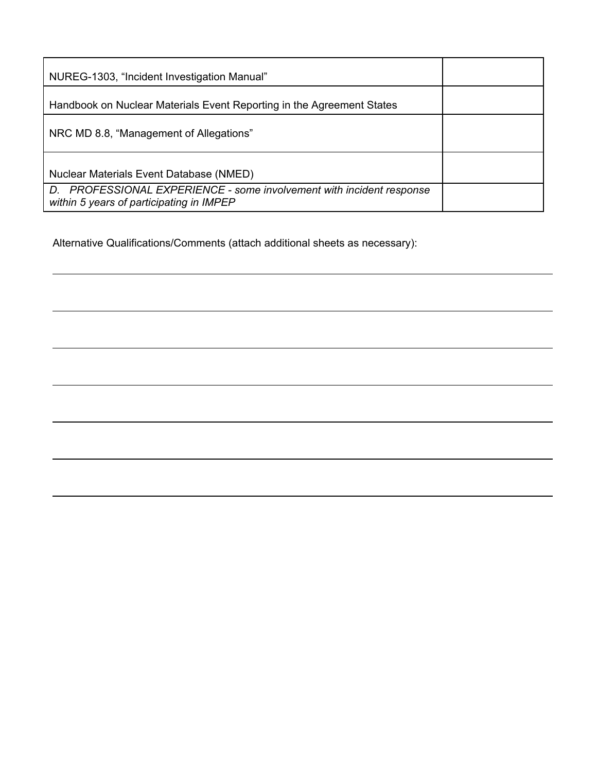| NUREG-1303, "Incident Investigation Manual"                                                                      |  |
|------------------------------------------------------------------------------------------------------------------|--|
| Handbook on Nuclear Materials Event Reporting in the Agreement States                                            |  |
| NRC MD 8.8, "Management of Allegations"                                                                          |  |
| Nuclear Materials Event Database (NMED)                                                                          |  |
| D. PROFESSIONAL EXPERIENCE - some involvement with incident response<br>within 5 years of participating in IMPEP |  |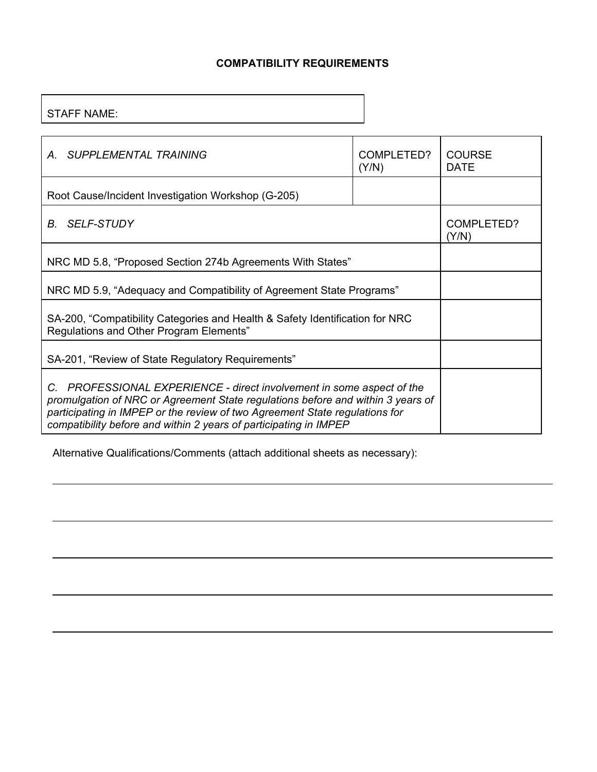### **COMPATIBILITY REQUIREMENTS**

### STAFF NAME:

| <b>SUPPLEMENTAL TRAINING</b><br>$A_{-}$                                                                                                                                                                                                                                                                      | COMPLETED?<br>(Y/N) | <b>COURSE</b><br><b>DATE</b> |
|--------------------------------------------------------------------------------------------------------------------------------------------------------------------------------------------------------------------------------------------------------------------------------------------------------------|---------------------|------------------------------|
| Root Cause/Incident Investigation Workshop (G-205)                                                                                                                                                                                                                                                           |                     |                              |
| <b>SELF-STUDY</b><br>В.                                                                                                                                                                                                                                                                                      |                     | COMPLETED?<br>(Y/N)          |
| NRC MD 5.8, "Proposed Section 274b Agreements With States"                                                                                                                                                                                                                                                   |                     |                              |
| NRC MD 5.9, "Adequacy and Compatibility of Agreement State Programs"                                                                                                                                                                                                                                         |                     |                              |
| SA-200, "Compatibility Categories and Health & Safety Identification for NRC<br>Regulations and Other Program Elements"                                                                                                                                                                                      |                     |                              |
| SA-201, "Review of State Regulatory Requirements"                                                                                                                                                                                                                                                            |                     |                              |
| C. PROFESSIONAL EXPERIENCE - direct involvement in some aspect of the<br>promulgation of NRC or Agreement State regulations before and within 3 years of<br>participating in IMPEP or the review of two Agreement State regulations for<br>compatibility before and within 2 years of participating in IMPEP |                     |                              |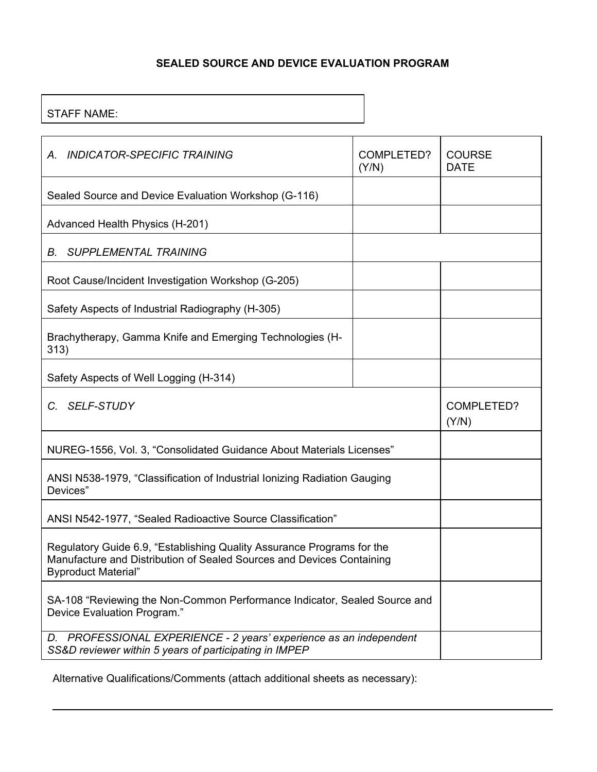### **SEALED SOURCE AND DEVICE EVALUATION PROGRAM**

# STAFF NAME:

| A. INDICATOR-SPECIFIC TRAINING                                                                                                                                                | <b>COMPLETED?</b><br>(Y/N) | <b>COURSE</b><br><b>DATE</b> |
|-------------------------------------------------------------------------------------------------------------------------------------------------------------------------------|----------------------------|------------------------------|
| Sealed Source and Device Evaluation Workshop (G-116)                                                                                                                          |                            |                              |
| Advanced Health Physics (H-201)                                                                                                                                               |                            |                              |
| <b>SUPPLEMENTAL TRAINING</b><br>В.                                                                                                                                            |                            |                              |
| Root Cause/Incident Investigation Workshop (G-205)                                                                                                                            |                            |                              |
| Safety Aspects of Industrial Radiography (H-305)                                                                                                                              |                            |                              |
| Brachytherapy, Gamma Knife and Emerging Technologies (H-<br>313)                                                                                                              |                            |                              |
| Safety Aspects of Well Logging (H-314)                                                                                                                                        |                            |                              |
| <b>SELF-STUDY</b><br>C.                                                                                                                                                       |                            | COMPLETED?<br>(Y/N)          |
| NUREG-1556, Vol. 3, "Consolidated Guidance About Materials Licenses"                                                                                                          |                            |                              |
| ANSI N538-1979, "Classification of Industrial Ionizing Radiation Gauging<br>Devices"                                                                                          |                            |                              |
| ANSI N542-1977, "Sealed Radioactive Source Classification"                                                                                                                    |                            |                              |
| Regulatory Guide 6.9, "Establishing Quality Assurance Programs for the<br>Manufacture and Distribution of Sealed Sources and Devices Containing<br><b>Byproduct Material"</b> |                            |                              |
| SA-108 "Reviewing the Non-Common Performance Indicator, Sealed Source and<br>Device Evaluation Program."                                                                      |                            |                              |
| PROFESSIONAL EXPERIENCE - 2 years' experience as an independent<br>D.<br>SS&D reviewer within 5 years of participating in IMPEP                                               |                            |                              |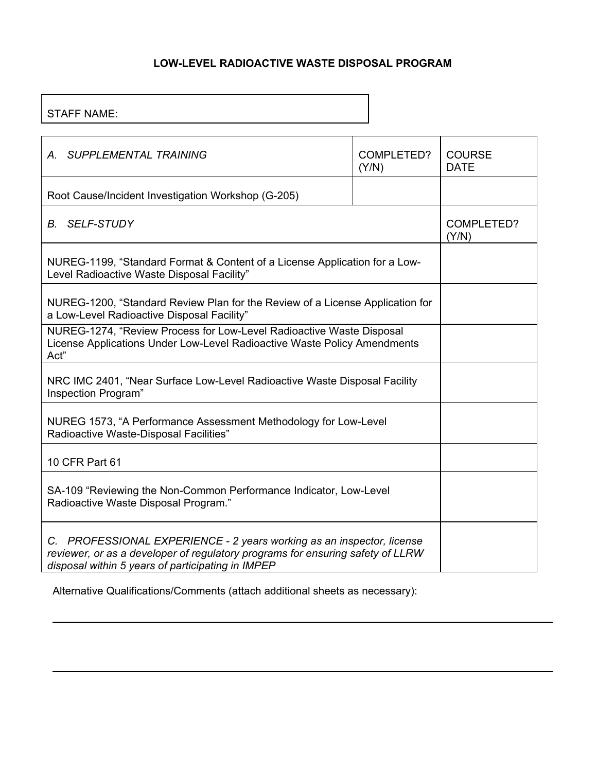### **LOW-LEVEL RADIOACTIVE WASTE DISPOSAL PROGRAM**

### STAFF NAME:

| A. SUPPLEMENTAL TRAINING                                                                                                                                                                                     | COMPLETED?<br>(Y/N) | <b>COURSE</b><br><b>DATE</b> |
|--------------------------------------------------------------------------------------------------------------------------------------------------------------------------------------------------------------|---------------------|------------------------------|
| Root Cause/Incident Investigation Workshop (G-205)                                                                                                                                                           |                     |                              |
| <b>B.</b> SELF-STUDY                                                                                                                                                                                         |                     | COMPLETED?<br>(Y/N)          |
| NUREG-1199, "Standard Format & Content of a License Application for a Low-<br>Level Radioactive Waste Disposal Facility"                                                                                     |                     |                              |
| NUREG-1200, "Standard Review Plan for the Review of a License Application for<br>a Low-Level Radioactive Disposal Facility"                                                                                  |                     |                              |
| NUREG-1274, "Review Process for Low-Level Radioactive Waste Disposal<br>License Applications Under Low-Level Radioactive Waste Policy Amendments<br>Act"                                                     |                     |                              |
| NRC IMC 2401, "Near Surface Low-Level Radioactive Waste Disposal Facility<br>Inspection Program"                                                                                                             |                     |                              |
| NUREG 1573, "A Performance Assessment Methodology for Low-Level<br>Radioactive Waste-Disposal Facilities"                                                                                                    |                     |                              |
| 10 CFR Part 61                                                                                                                                                                                               |                     |                              |
| SA-109 "Reviewing the Non-Common Performance Indicator, Low-Level<br>Radioactive Waste Disposal Program."                                                                                                    |                     |                              |
| C. PROFESSIONAL EXPERIENCE - 2 years working as an inspector, license<br>reviewer, or as a developer of regulatory programs for ensuring safety of LLRW<br>disposal within 5 years of participating in IMPEP |                     |                              |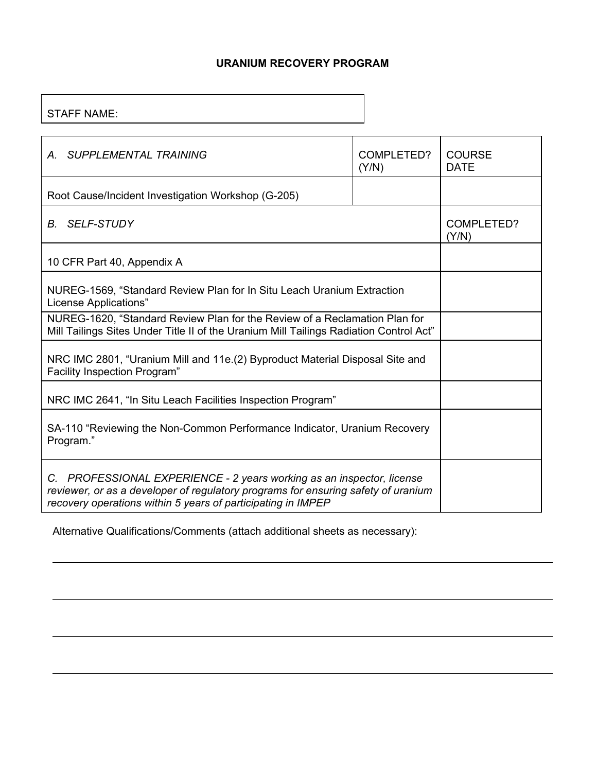### **URANIUM RECOVERY PROGRAM**

### STAFF NAME:

| SUPPLEMENTAL TRAINING<br>$A_{\cdot}$                                                                                                                                                                                       | COMPLETED?<br>(Y/N) | <b>COURSE</b><br><b>DATE</b> |
|----------------------------------------------------------------------------------------------------------------------------------------------------------------------------------------------------------------------------|---------------------|------------------------------|
| Root Cause/Incident Investigation Workshop (G-205)                                                                                                                                                                         |                     |                              |
| <b>B.</b> SELF-STUDY                                                                                                                                                                                                       |                     | COMPLETED?<br>(Y/N)          |
| 10 CFR Part 40, Appendix A                                                                                                                                                                                                 |                     |                              |
| NUREG-1569, "Standard Review Plan for In Situ Leach Uranium Extraction<br>License Applications"                                                                                                                            |                     |                              |
| NUREG-1620, "Standard Review Plan for the Review of a Reclamation Plan for<br>Mill Tailings Sites Under Title II of the Uranium Mill Tailings Radiation Control Act"                                                       |                     |                              |
| NRC IMC 2801, "Uranium Mill and 11e. (2) Byproduct Material Disposal Site and<br>Facility Inspection Program"                                                                                                              |                     |                              |
| NRC IMC 2641, "In Situ Leach Facilities Inspection Program"                                                                                                                                                                |                     |                              |
| SA-110 "Reviewing the Non-Common Performance Indicator, Uranium Recovery<br>Program."                                                                                                                                      |                     |                              |
| C. PROFESSIONAL EXPERIENCE - 2 years working as an inspector, license<br>reviewer, or as a developer of regulatory programs for ensuring safety of uranium<br>recovery operations within 5 years of participating in IMPEP |                     |                              |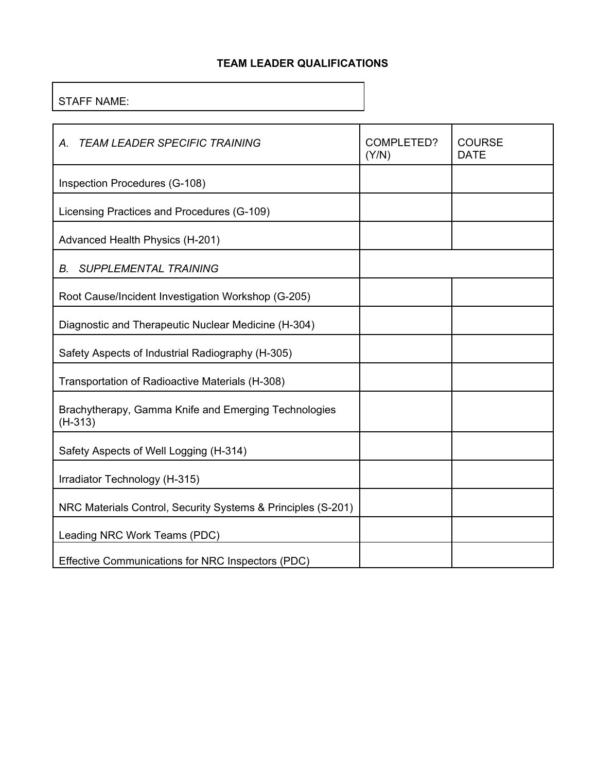### **TEAM LEADER QUALIFICATIONS**

# STAFF NAME:

| <b>TEAM LEADER SPECIFIC TRAINING</b><br>Α.                        | COMPLETED?<br>(Y/N) | <b>COURSE</b><br><b>DATE</b> |
|-------------------------------------------------------------------|---------------------|------------------------------|
| Inspection Procedures (G-108)                                     |                     |                              |
| Licensing Practices and Procedures (G-109)                        |                     |                              |
| Advanced Health Physics (H-201)                                   |                     |                              |
| <b>SUPPLEMENTAL TRAINING</b><br>В.                                |                     |                              |
| Root Cause/Incident Investigation Workshop (G-205)                |                     |                              |
| Diagnostic and Therapeutic Nuclear Medicine (H-304)               |                     |                              |
| Safety Aspects of Industrial Radiography (H-305)                  |                     |                              |
| Transportation of Radioactive Materials (H-308)                   |                     |                              |
| Brachytherapy, Gamma Knife and Emerging Technologies<br>$(H-313)$ |                     |                              |
| Safety Aspects of Well Logging (H-314)                            |                     |                              |
| Irradiator Technology (H-315)                                     |                     |                              |
| NRC Materials Control, Security Systems & Principles (S-201)      |                     |                              |
| Leading NRC Work Teams (PDC)                                      |                     |                              |
| Effective Communications for NRC Inspectors (PDC)                 |                     |                              |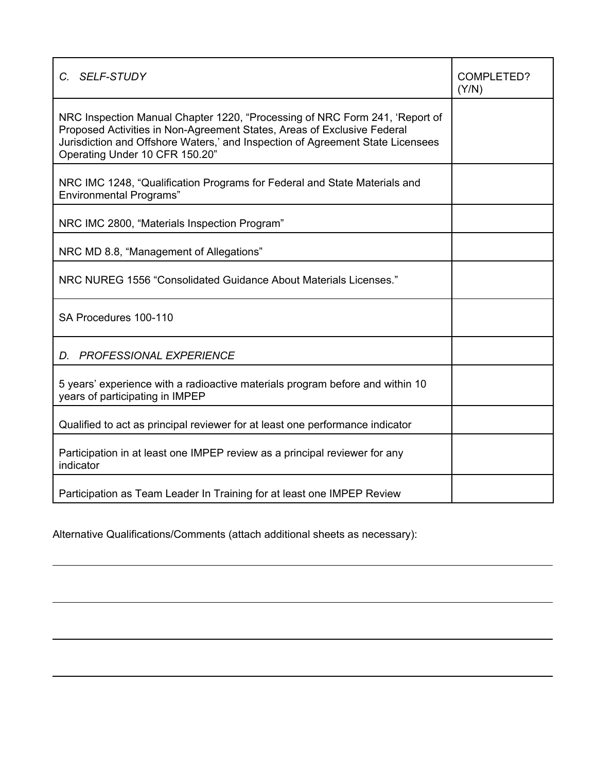| C. SELF-STUDY                                                                                                                                                                                                                                                              | COMPLETED?<br>(Y/N) |
|----------------------------------------------------------------------------------------------------------------------------------------------------------------------------------------------------------------------------------------------------------------------------|---------------------|
| NRC Inspection Manual Chapter 1220, "Processing of NRC Form 241, 'Report of<br>Proposed Activities in Non-Agreement States, Areas of Exclusive Federal<br>Jurisdiction and Offshore Waters,' and Inspection of Agreement State Licensees<br>Operating Under 10 CFR 150.20" |                     |
| NRC IMC 1248, "Qualification Programs for Federal and State Materials and<br><b>Environmental Programs</b> "                                                                                                                                                               |                     |
| NRC IMC 2800, "Materials Inspection Program"                                                                                                                                                                                                                               |                     |
| NRC MD 8.8, "Management of Allegations"                                                                                                                                                                                                                                    |                     |
| NRC NUREG 1556 "Consolidated Guidance About Materials Licenses."                                                                                                                                                                                                           |                     |
| SA Procedures 100-110                                                                                                                                                                                                                                                      |                     |
| D. PROFESSIONAL EXPERIENCE                                                                                                                                                                                                                                                 |                     |
| 5 years' experience with a radioactive materials program before and within 10<br>years of participating in IMPEP                                                                                                                                                           |                     |
| Qualified to act as principal reviewer for at least one performance indicator                                                                                                                                                                                              |                     |
| Participation in at least one IMPEP review as a principal reviewer for any<br>indicator                                                                                                                                                                                    |                     |
| Participation as Team Leader In Training for at least one IMPEP Review                                                                                                                                                                                                     |                     |